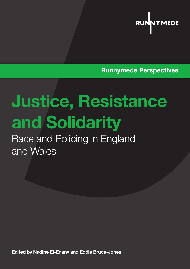

Runnymede Perspectives

# Justice, Resistance and Solidarity

Race and Policing in England and Wales

Edited by Nadine El-Enany and Eddie Bruce-Jones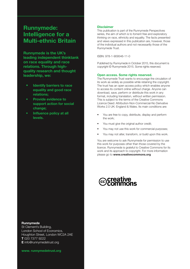## Runnymede: Intelligence for a Multi-ethnic Britain

Runnymede is the UK's leading independent thinktank on race equality and race relations. Through highquality research and thought leadership, we:

- Identify barriers to race equality and good race relations;
- Provide evidence to support action for social change;
- Influence policy at all levels.

#### Runnymede

St Clement's Building, London School of Economics, Houghton Street, London WC2A 2AE T 020 7377 9222 E info@runnymedetrust.org

www. runnymedetrust.org

#### Disclaimer

This publication is part of the Runnymede Perspectives series, the aim of which is to foment free and exploratory thinking on race, ethnicity and equality. The facts presented and views expressed in this publication are, however, those of the individual authors and not necessariliy those of the Runnymede Trust.

ISBN: 978-1-909546-11-0

Published by Runnymede in October 2015, this document is copyright © Runnymede 2015. Some rights reserved.

#### Open access. Some rights reserved.

The Runnymede Trust wants to encourage the circulation of its work as widely as possible while retaining the copyright. The trust has an open access policy which enables anyone to access its content online without charge. Anyone can download, save, perform or distribute this work in any format, including translation, without written permission. This is subject to the terms of the Creative Commons Licence Deed: Attribution-Non-Commercial-No Derivative Works 2.0 UK: England & Wales. Its main conditions are:

- You are free to copy, distribute, display and perform the work;
- You must give the original author credit;
- You may not use this work for commercial purposes;
- You may not alter, transform, or build upon this work.

You are welcome to ask Runnymede for permission to use this work for purposes other than those covered by the licence. Runnymede is grateful to Creative Commons for its work and its approach to copyright. For more information please go to www.creativecommons.org

# **creat**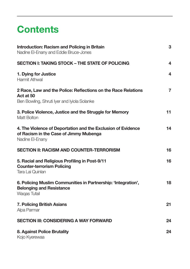# **Contents**

| <b>Introduction: Racism and Policing in Britain</b><br>Nadine El-Enany and Eddie Bruce-Jones                              | 3                       |
|---------------------------------------------------------------------------------------------------------------------------|-------------------------|
| <b>SECTION I: TAKING STOCK - THE STATE OF POLICING</b>                                                                    | 4                       |
| 1. Dying for Justice<br>Harmit Athwal                                                                                     | $\overline{\mathbf{4}}$ |
| 2 Race, Law and the Police: Reflections on the Race Relations<br>Act at 50<br>Ben Bowling, Shruti Iyer and Iyiola Solanke | $\overline{7}$          |
| 3. Police Violence, Justice and the Struggle for Memory<br><b>Matt Bolton</b>                                             | 11                      |
| 4. The Violence of Deportation and the Exclusion of Evidence<br>of Racism in the Case of Jimmy Mubenga<br>Nadine El-Enany | 14                      |
| SECTION II: RACISM AND COUNTER-TERRORISM                                                                                  | 16                      |
| 5. Racial and Religious Profiling in Post-9/11<br><b>Counter-terrorism Policing</b><br>Tara Lai Quinlan                   | 16                      |
| 6. Policing Muslim Communities in Partnership: 'Integration',<br><b>Belonging and Resistance</b><br>Waqas Tufail          | 18                      |
| <b>7. Policing British Asians</b><br>Alpa Parmar                                                                          | 21                      |
| <b>SECTION III: CONSIDERING A WAY FORWARD</b>                                                                             | 24                      |
| 8. Against Police Brutality<br>Kojo Kyerewaa                                                                              | 24                      |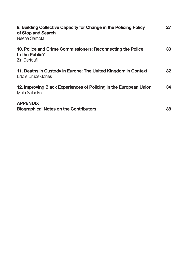| 9. Building Collective Capacity for Change in the Policing Policy<br>of Stop and Search<br>Neena Samota | 27 |
|---------------------------------------------------------------------------------------------------------|----|
| 10. Police and Crime Commissioners: Reconnecting the Police<br>to the Public?<br>Zin Derfoufi           | 30 |
| 11. Deaths in Custody in Europe: The United Kingdom in Context<br><b>Eddie Bruce-Jones</b>              | 32 |
| 12. Improving Black Experiences of Policing in the European Union<br>Iyiola Solanke                     | 34 |
| <b>APPENDIX</b><br><b>Biographical Notes on the Contributors</b>                                        | 38 |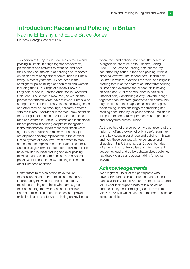## Introduction: Racism and Policing in Britain

Nadine El-Enany and Eddie Bruce-Jones

Birkbeck College School of Law

This edition of Perspectives focuses on racism and policing in Britain. It brings together academics, practitioners and activists to examine, and offer their outlook on, the state of policing and its effects on black and minority ethnic communities in Britain today. In recent years the US has been in the spotlight for police killings of black men and women, including the 2014 killings of Michael Brown in Ferguson, Missouri, Tanisha Anderson in Cleveland, Ohio, and Eric Garner in New York, as well as the protest movements which have followed. Britain is no stranger to racialised police violence. Following these and other fatal police shootings, solidarity protests with the #BlackLivesMatter movement drew attention to the long list of unaccounted-for deaths of black men and women in Britain. Systemic and institutional racism persists in policing despite its recognition in the Macpherson Report more than fifteen years ago. In Britain, black and minority ethnic people are disproportionately represented in the criminal justice system at every level, from arrests to stop and search, to imprisonment, to deaths in custody. Successive governments' counter-terrorism policies have resulted in racial profiling and over-policing of Muslim and Asian communities, and have fed a pervasive Islamophobia now affecting British and other European societies.

Contributors to this collection have tackled these issues head on from multiple perspectives, incorporating the voices of those affected by racialised policing and those who campaign on their behalf, together with scholars in the field. Each of their short contributions seeks to provoke critical reflection and forward-thinking on key issues where race and policing intersect. The collection is organised into three parts. The first, Taking Stock – The State of Policing, sets out the key contemporary issues in race and policing within a historical context. The second part, Racism and Counter-Terrorism, examines the racial and religious profiling that is at the heart of counter-terror policing in Britain and examines the impact this is having on Asian and Muslim communities in particular. The final part, Considering a Way Forward, brings together accounts from grassroots and community organisations of their experiences and strategies when taking up the challenge of scrutinising and seeking accountability for police actions. Included in this part are comparative perspectives on practice and policy from across Europe.

As the editors of this collection, we consider that the insights it offers provide not only a useful summary of the key issues around race and policing in Britain, and how these connect with experiences and struggles in the US and across Europe, but also a framework to contextualise and inform current academic, legal and policy debates about policing, racialised violence and accountability for police actions.

#### Acknowledgements

We are grateful to all of the participants who have contributed to this publication, and extend particular thanks to the Arts and Humanities Council (AHRC) for their support both of this collection and the Runnymede Emerging Scholars Forum (AH/K007564/1) which has made the Forum seminar series possible.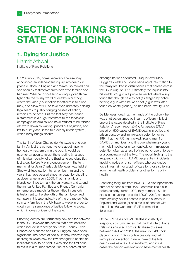# SECTION I: TAKING STOCK – THE STATE OF POLICING

# 1. Dying for Justice

#### Harmit Athwal

Institute of Race Relations

On 23 July 2015, home secretary Theresa May announced an independent inquiry into deaths in police custody in England and Wales, so moved had she been by testimonies from bereaved families she had met. Whether or not such an inquiry can throw light onto the murky world of deaths in custody, where the knee-jerk reaction for officers is to close rank, and allow for PR to take over, ultimately helping legal teams to justify bringing causes of action, remains to be seen. But the fact May has issued a statement is a huge testament to the tenacious campaigns of families who have refused to be fobbed off, worn down by waiting, priced out of justice, and left to quietly acquiesce to a deeply unfair system, which rarely brings closure.

The family of Jean Charles de Menezes is one such family. Amidst the current hysteria about nipping homegrown extremism in the bud, it would be easy for a nation to forget the shooting (in a case of mistaken identity) of the Brazilian electrician. But just a day before May's pronouncement, the tenth memorial for Jean Charles de Menezes was held at Stockwell tube station, to remember him and the years that have passed since his death by shooting at close range in July 2005. That his family and friends continue to mark the anniversary and attend the annual United Families and Friends Campaign remembrance march for those 'killed in custody' is testament to the strength of the family-centred campaign. It is also indicative of the protracted fight so many families in the UK have to wage in order to obtain some semblance of justice following a death which involves officers of the state.

Shooting deaths are, fortunately, few and far between in the UK. However, the deaths that have occurred, which include in recent years Azelle Rodney, Jean Charles de Menezes and Mark Duggan, have been significant. The death of Azelle Rodney involved legal challenges which saw the law changed to enable an inquest/inquiry to be held. It was also the first case to result in a murder prosecution of a police officer,

although he was acquitted. Disquiet over Mark Duggan's death and police handling of information to the family resulted in disturbances that spread across the UK in August 2011. Ultimately the inquest into his death brought in a perverse verdict where a jury found that though he was not (as alleged by police) holding a gun when he was shot (a gun was later found on waste ground), he had been lawfully killed.

De Menezes' death at the hands of the police – he was shot seven times by firearms officers – is just one of the cases detailed in the Institute of Race Relations' recent report Dying for Justice (DfJ),<sup>1</sup> based on 509 cases of BAME deaths in police and prison custody and immigration detention since 1991 that the IRR has tracked. Young men from BAME communities, and it is overwhelmingly young men, die in police or prison custody or immigration detention often as a result of neglect or use of force – or a combination of the two. The report highlights the frequency with which BAME people die in incidents involving police or prison officers who use undue force in restraint or a lack of care for those suffering from mental health problems or other forms of illhealth.

According to figures from INQUEST, a disproportionate number of people from BAME communities die in police custody; since 1990, they number 151. Its statistics, covering the period 2002–2012, are even more striking: of 380 deaths in police custody in England and Wales (or as a result of contact with the police), 69 were from BME communities – 18 percent.

Of the 509 cases of BME deaths in custody in suspicious circumstances that the Institute of Race Relations analysed from its database of cases between 1991 and 2014, the majority, 348, took place in prison, 137 in police custody and 24 in immigration detention. One in three of the total deaths was as a result of self-harm, and in 64 cases the person was known to have mental health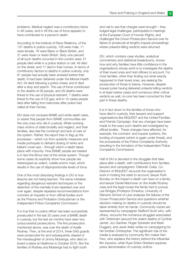problems. Medical neglect was a contributory factor in 49 cases, and in 48 the use of force appears to have contributed to a person's death.

According to the Institute of Race Relations, of the 137 deaths in police custody, 126 were male, 11 were female, 78 were Black or Black British, and 31 were Asian or Asian British. Sixty-one percent of all such deaths occurred in the London area: 51 people died while in a police station or cell; 49 died on the street; and 17 died in their homes. In terms of contributory factors to deaths in police custody, only 61 people had actually been arrested before their death; 9 had been detained under the Mental Health Act; 34 died following a police chase; and 6 died after a stop and search. The use of force contributed to the deaths of 39 people, and 29 deaths were linked to the use of physical restraint; 7 deaths were linked to the use of CS gas; and in 10 cases people died after falling from balconies after police had called at their homes.

DfJ does not compare BAME and white death rates, or assert that people from BAME communities are the only ones who die in custody. White workingclass victims of state brutality and neglect, and their families, also feel the contempt and lack of care of the system. Rather, the report tries to flag up the processes – which run from austerity measures and media portrayals to diehard closing of ranks and blatant cover-ups – through which a death takes place with impunity. How BAME people are treated is in fact the litmus test of the whole system. Though some cases do explicitly show how people are stereotyped as violent, volatile and/or mad, which results in the use of disproportionate levels of force.

One of the most disturbing findings in DfJ is how lessons are not being learned. The same mistakes regarding dangerous restraint techniques or the detention of the mentally ill are repeated over and over again, despite repeated recommendations from coroners at inquests or from official bodies such as the Prisons and Probation Ombudsman or the Independent Police Complaints Commission.

It is true that no police officer has been successfully prosecuted in the last 20 years over a BAME death in custody, but the last six months have seen two (unsuccessful) prosecutions. The first prosecution, mentioned above, was over the death of Azelle Rodney. Then, at the end of 2014, three G4S guards were prosecuted for and subsequently cleared of the manslaughter of Jimmy Mubenga, who died on board a plane at Heathrow in October 2010. But the families of Rodney and Mubenga had to fight tooth

and nail to see that charges were brought – they lodged legal challenges, participated in hearings at the European Court of Human Rights, and challenged the Crown Prosecution Service over its failure to prosecute at lengthy inquest proceedings where unlawful killing verdicts were returned.

DfJ, which contains case studies, analytical commentary and statistical breakdowns, shows how and why families have little confidence in the organisations whose remit is to investigate the deaths of their loved ones and hold officers to account. For most families, other than finding out what exactly happened to their loved ones, are seeking the prosecution of those to blame. However, despite inquest juries having delivered unlawful killing verdicts in at least twelve cases and numerous other critical verdicts as well, no-one has been convicted for their part in these deaths.

It is in fact down to the families of those who have died in custody, their lawyers and support organisations like INQUEST and the United Families and Friends Campaign, that any changes have been made to the ways such deaths are investigated by official bodies. These changes have affected, for example, the coroners' and inquest systems, the funding of inquests (which is again under threat), and the procedures of the Police Complaints Authority (resulting in the formation of the Independent Police Complaints Commission).

Half of DfJ is devoted to the struggles that take place after a death, with contributions from families, lawyers and campaigners: Deborah Coles, Co-Director of INQUEST recounts the organisation's work in holding the state to account; lawyer Ruth Bundey on the impact a death can have on a family; and lawyer Daniel Machover on the Azelle Rodney case and the legal routes the family had to pursue. Lee Bridges (Professor Emeritus, University of Warwick School of Law) analyses the failures of the Crown Prosecution Service and questions whether decision-making on deaths in custody should be taken entirely from its hands. Community voices are represented by campaigner Stafford Scott who, with others, recounts the numerous struggles associated with Tottenham (around the violent deaths of Cynthia Jarrett, Joy Gardner, Roger Sylvester and Mark Duggan), and Janet Alder writes on campaigning for her brother Christopher. The significant role of the media is analysed by community film-maker Ken Fero, who explains the history behind the influential film *Injustice*, while Ryan Erfani-Ghettani explores press demonisation of custody victims.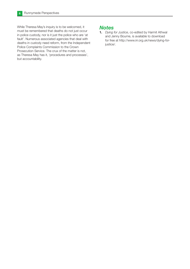While Theresa May's inquiry is to be welcomed, it must be remembered that deaths do not just occur in police custody, nor is it just the police who are 'at fault'. Numerous associated agencies that deal with deaths in custody need reform, from the Independent Police Complaints Commission to the Crown Prosecution Service. The crux of the matter is not, as Theresa May has it, 'procedures and processes', but accountability.

#### **Notes**

1. Dying for Justice, co-edited by Harmit Athwal and Jenny Bourne, is available to download for free at http://www.irr.org.uk/news/dying-forjustice/.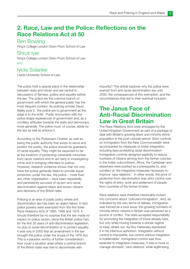# 2. Race, Law and the Police: Reflections on the Race Relations Act at 50

#### Ben Bowling

King's College London Dixon Poon School of Law

#### Shruti Iver

King's College London Dixon Poon School of Law and

#### Iyiola Solanke

Leeds University School of Law

The police hold a special place in the relationship between state and citizen and are central to discussions of fairness, justice and equality before the law. The police are the coercive branch of government with which the general public has the most frequent contact. As policing scholar David Bailey puts it, 'the police are to government as the edge is to the knife'. Public encounters with the police shape experiences of government and, as a corollary, attitudes towards the state and democracy more generally. The police must, of course, abide by the law as well as enforce it.

According to the Rotterdam Charter, as well as being the public authority that exists to serve and protect the public, the police should be guardians of racial equality. They might be expected to be at the forefront of protecting vulnerable minorities from racist violence and to act fairly in investigating crime and in bringing offenders to justice. However, research evidence shows that not only have the police generally failed to provide equal protection under the law, the police – more than any other organisation – have been repeatedly and persistently accused of racism and racial discrimination against black and brown citizens and denizens of the British Isles.

Policing is an area of public policy where anti discrimination law has been an abject failure. In fact, police powers were exempted from the first three Race Relations Acts of 1965, 1968 and 1976. It should therefore be no surprise that the law made no impact on police racism, since the British police had, for the first 35 years of anti-discrimination legislation, no duty to avoid discrimination or to protect equality. It was only in 2000 that an amendment in the law brought the police under the scope of the 1976 Act. This is a paradox worthy of further consideration: how could a situation arise where a central branch of the British state was free to discriminate with

impunity? This article explores why the police were exempt from anti-racial discrimination law until 2000, the consequences of this exemption, and the circumstances that led to their eventual inclusion.

## The Janus Face of Anti-Racial Discrimination Law in Great Britain

The Race Relations Acts were envisaged by the United Kingdom Government as part of a package to deal with Britain's growing black and minority ethnic population in the post-colonial period. Strict controls on immigration from the New Commonwealth were accompanied by measures to foster integration, including laws prohibiting racial discrimination. Immigration controls designed explicitly to reduce numbers of citizens arriving from the former colonies in the Indian subcontinent, Africa, the Caribbean and elsewhere were posited as a prerequisite to, and corollary of, the integrative measures necessary to improve 'race relations'. In other words, the price of protection from discrimination was strict control over the rights of entry, work and settlement of people from countries of the former Empire.

Race relations were therefore inextricably locked into concerns about 'coloured immigration'. And, as indicated by the very terms of debate, immigration was framed as a race issue: the growing numbers of minority ethnic citizens in Britain was perceived as a source of conflict. The state accepted responsibility for promoting the integration of those already here, but only while moving towards a stricter regime to keep others out. As Roy Hattersley expressed it in his infamous aphorism: 'Integration without control is impossible, but control without integration is indefensible'. Immigration control was thus essential to integration measures; it was a move to manage domestic 'race relations' while legitimising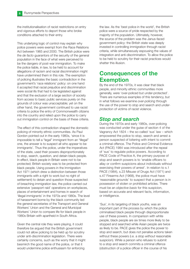the institutionalisation of racist restrictions on entry and vigorous efforts to deport those who broke conditions attached to their entry.

This underlying logic of control may explain why police powers were exempt from the Race Relations Act between 1965 and 2000. The British police were the de facto guarantors of the security of the general population in the face of what were perceived to be the dangers of post-war immigration. To make the police liable, in law, to be held to account for allegations of racism and racial discrimination might have undermined them in this role. The exemption of policing illustrates the basic contradiction in the government's 'race relations' policy: on one hand it accepted that racial prejudice and discrimination were social ills that had to be legislated against and that the exclusion of a large section of society from access to basic public services purely on the grounds of colour was unacceptable; yet on the other hand, the government continued to use racist criteria to police the entry of Commonwealth citizens into the country and relied upon the police to carry out immigration control on the basis of these criteria.

The effect of this contradiction shaped the domestic policing of minority ethnic communities. As Paul Gordon pointed out in the early 1980s, 'since it is impossible to tell a "legal" immigrant from an "illegal" one, the answer is to suspect all who appear to be immigrants'. Thus the police, under the imperatives of the state, used their powers disproportionately to stop, search, question, and detain black people. In effect, black people in Britain were not to be protected; British society was to be protected from black people. Using powers in the Immigration Act 1971 (which drew a distinction between those immigrants with a right to work but no right of settlement) to detain and question those suspected of breaching immigration law, the police carried out extensive 'passport raid' operations on workplaces, places of entertainment and homes in search of 'illegal immigrants' in the 1970s and 1980s. The level of harassment borne by the black community led the general secretaries of the Transport and General Workers' Union and the General and Municipal Workers' Union to compare life for black people in 1980s Britain with apartheid in South Africa.

Given the central role they were playing, it could therefore be argued that the British government could not allow policing to be held up for scrutiny under anti-discrimination legislation. There were certainly concerns, such as the worry that it might besmirch the good name of the police, or that it would undermine police enthusiasm for enforcing

the law. As the 'best police in the world', the British police were a source of pride respected by the majority of the population. Ultimately, however, the source of the problem was the Janus-faced government policy: the British state was deeply invested in controlling immigration through racist criteria, while simultaneously espousing the values of integration and anti-discrimination. To allow the police to be held to scrutiny for their racist practices would shatter this illusion.

# Consequences of the Exemption

By the end of the 1970s, it was clear that black people, and minority ethnic communities more generally, were 'over-policed but under-protected'. There are numerous examples of this tendency, but in what follows we examine over-policing through the use of the power to stop and search and *under*protection of victims of racist violence.

#### Stop and search

During the 1970s and early 1980s, over-policing was conducted under the guise of section 4 of the Vagrancy Act 1824 – the so-called 'sus' law – which empowered the police to stop, search and arrest a person suspected of loitering with intent to commit a criminal offence. The Police and Criminal Evidence Act (PACE) 1984 was introduced after the repeal of 'sus' to regulate police powers. According to PACE Code of Practice A, the primary purpose of stop and search powers is to 'enable officers to allay or confirm suspicions about individuals without exercising their powers of arrest'. In relation to s.1 PACE (1984), s.23 Misuse of Drugs Act (1971) and s.47 Firearms Act (1968), the police must have 'reasonable grounds' to suspect that a person is in possession of stolen or prohibited articles. There must be an objective basis for this suspicion, based on accurate and relevant facts, information, or intelligence.

'Sus', in its targeting of black youths, was an important part of the process by which the police criminalised black people through disproportionate use of these powers. In comparison with white people, black people are six times more likely to be stopped and searched while Asian people are twice as likely to be. PACE gives the police the power to stop and search, but does not penalise actions taken without these powers (i.e. a stop without reasonable suspicion). While a person who refuses to submit to a stop and search commits a criminal offence (obstruction of a police officer in the course of his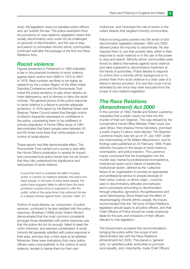duty), the legislation does not penalise police officers who act outwith the law. The police exemption from the provisions of 'race relations' legislation meant that racially discriminatory acts could not be challenged on grounds of discrimination, and the use of stop and search to criminalise minority ethnic communities continued well after the passage of the first two Race Relations Acts.

#### Racist violence

Figures presented to Parliament in 1980 indicated a rise in documented incidents of racist violence against black victims from 2690 in 1975 to 3827 in 1979. Real numbers are likely to be higher as research by the London Region of the West Indian Standing Conference and the Runnymede Trust noted the police tendency to play down attacks as mere delinquency, and to dismiss or deny the racist motives. The general picture of the police response to racist violence is a failure to provide adequate protection. A 1978 report by the Bethnal Green and Stepney Trades Council stated that Bengali victims of attacks frequently expressed no confidence in the police, considering them to be indifferent or actively prejudiced. A Home Office study of 1981 demonstrated that black people were between 50 and 60 times more likely than white people to be victims of racial attacks.

These reports had little demonstrable effect. The Runnymede Trust carried out a survey a year after the Home Office's publication to assess its impact, and concluded that police forces had not yet shown that they fully understood the significance and seriousness of racial violence:

It would be hard to overstate the effect of police action or inaction on relations between the police and black people. In the eyes of many black people, the police have singularly failed to afford them the basic protection a police force is supposed to offer the public, while at the same time it has enforced the law in a biased manner against them. (Gordon 1983: 57)

Victims of racial attacks, as 'consumers' of police services, continued to be less satisfied with the police response. Bowling's (1999) study Violent Racism demonstrated that the most common complaints amongst those dissatisfied with police response was that the police did not do enough, failed to keep the victim informed, and seemed uninterested. A small minority felt generally satisfied with police response in their area, and less than a third were at all satisfied. Moreover, there were indications that many police officers were unsympathetic to the victims of racist violence, tended to blame them for their own

misfortune, and minimised the role of racism in the violent attacks that targeted minority communities.

Failure to bring police powers into the ambit of antidiscrimination legislation between 1965 and 2000 allowed police the impunity to discriminate. No law required them to use their powers fairly, either in their response to racist violence or in the use of the power to stop and search. Minority ethnic communities were forced to defend themselves against racist violence and were subjected to discriminatory treatment at the hands of authorities. Police failures to respond to victims from a minority ethnic background or to protect them from racist violence is a clear case of a failure in service provision. It is one that could not be remedied by law since they were excluded from the scope of race relations legislation.

#### The Race Relations (Amendment) Act 2000

In the summer of 1993, Neville and Doreen Lawrence requested that a public inquiry be held into the murder of their son Stephen. This was refused by the Conservative Home Office Minister, Peter Lloyd, but Jack Straw, then shadow Home Secretary, promised a public inquiry if Labour were elected. The Stephen Lawrence Inquiry was set up on 31 July 1997 under the chairmanship of Sir William Macpherson, and its findings were published on 24 February 1999. Public attention focused on the issues of racist violence, victimisation, and police inaction. The Lawrence Inquiry concluded that the investigation into the murder was marred by professional incompetence, institutional racism and a failure of leadership. Institutional racism, defined as the 'collective failure of an organization to provide an appropriate and professional service to people because of their colour, culture, or ethnic origin', could be seen in discriminatory attitudes and behavior, and in processes amounting to discrimination through prejudice, ignorance, thoughtlessness and racist stereotyping. Since these had the effect of disadvantaging minority ethnic people, the inquiry recommended that the 'full force of Race Relations legislation should apply to all police officers, and that Chief Officers of Police should be made vicariously liable for the acts and omissions of their officers relevant to that legislation'.

The Government accepted this recommendation, bringing the police within the scope of antidiscrimination law with the Race Relations (Amendment) Act 2000. This placed a 'general duty' on specified public authorities to promote race equality, and, importantly, made Chief Officers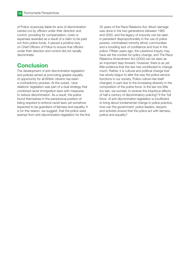of Police vicariously liable for acts of discrimination carried out by officers under their direction and control, providing for compensation, costs or expenses awarded as a result of a claim to be paid out from police funds. It placed a positive duty on Chief Officers of Police to ensure that officers under their direction and control did not racially discriminate.

# Conclusion

The development of anti-discrimination legislation and policies aimed at promoting greater equality of opportunity for all British citizens has been a contradictory process. At the outset, 'race relations' legislation was part of a dual strategy that combined racist immigration laws with measures to reduce discrimination. As a result, the police found themselves in the paradoxical position of being required to enforce racist laws yet somehow expected to be guardians of fairness and equality. It is for this reason, we suggest, that the police were exempt from anti-discrimination legislation for the first 35 years of the Race Relations Act. Much damage was done in the two generations between 1965 and 2000, and the legacy of impunity can be seen in persistent disproportionality in the use of police powers, criminalised minority ethnic communities and a troubling lack of confidence and trust in the police. Fifteen years ago, the Lawrence Inquiry may have set the context for policy change, and The Race Relations Amendment Act (2000) can be seen as an important step forward. However, there is as yet little evidence that this law has contributed to change much. Rather, it is cultural and political change that has slowly begun to alter the way the police service functions in our society. Police culture has itself changed, in part due to the increasing diversity in the composition of the police force. Is the law too little too late, we wonder, to reverse the iniquitous effects of half a century of discriminatory policing? If the 'full force' of anti-discrimination legislation is insufficient to bring about fundamental change in police practice, how can the government, police leaders, lawyers and activists ensure that the police act with fairness, justice and equality?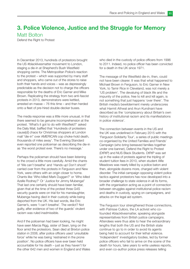## 3. Police Violence, Justice and the Struggle for Memory Matt Bolton

Defend the Right to Protest

In December 2013, hundreds of protestors brought the US #blacklivesmatter movement to London, staging a die-in at Shepherd's Bush Westfield shopping centre. The Metropolitan Police's reaction to the protest – which was supported by many staff and shoppers, who came out of the stores to raise both their hands and voices – was as depressingly predictable as the decision not to charge the officers responsible for the deaths of Eric Garner and Mike Brown. Replicating the strategy from two anti-fascist protests in 2013, demonstrators were kettled, arrested en masse – 76 this time – and then herded onto a fleet of pre-hired double-decker buses.

The media response was a little more unusual, in that there seemed to be genuine incomprehension at the protest. 'What's it got to do with Westfield?' asked the Daily Mail, baffled that 'Hundreds of protesters cause[d] chaos for Christmas shoppers at London mall "die-in" over AMERICAN cop choke-hold death, thousands of miles away'. The Evening Standard even reported one policeman as describing the die-in as 'the worst protest ever. There's no message.'

Perhaps the policeman should have been listening to the crowd a little more carefully. Amid the chants of 'We can't breathe' and 'Hands up! Don't shoot!' carried over from the protests in Ferguson and New York, were others with an origin closer to home. Chants like 'Who killed Mark Duggan?' or 'Who killed Azelle Rodney?' Or 'Justice for Jimmy Mubenga!' That last one certainly should have been familiar, given that at the time of the protest three G4S security guards were on trial for his manslaughter, Mubenga having died in their custody while being deported from the UK. His last words, like Eric Garner's, were 'I can't breathe'. The verdict? Not guilty, after evidence of two of the guards' virulent racism was ruled inadmissible.

And if the policeman had been looking, he might have seen Marcia Rigg, sister of Sean, lying on the floor amid the protestors. Sean died at Brixton police station in 2008, after police officers used 'unsuitable force' while he was being 'restrained in the prone position'. No police officers have ever been held accountable for his death – just as they haven't for the other 642 men and women in England and Wales who died in the custody of police officers from 1996 to 2011. Indeed, no police officer has been convicted for a death in the UK since 1971.

The message of the Westfield die-in, then, could not have been clearer. It was that what happened to Michael Brown in Ferguson, to Eric Garner in New York, to Tamir Rice in Cleveland, was not merely a 'US problem'. The devaluing of black life and the impunity of the police, free to kill and kill again, is not something that just happens 'over there'. The British media's bewilderment merely underscores what Harmit Athwal and Arun Kundnani have described as the 'complacency about Britain's own history of institutional racism and its manifestations in police violence'.

The connection between events in the US and the UK was underlined in February 2015 with the 'Ferguson Solidarity Tour', a series of public meetings co-organised by the United Families and Friends' Campaign (who bring bereaved families together under one banner), Defend the Right to Protest (DtRtP) and NUS Black Students. DtRtP was set up in the wake of protests against the tripling of student tuition fees in 2010, when student Alfie Meadows was nearly killed by a police baton and then, alongside dozens more, charged with violent disorder. The initial campaign opposing violent police tactics against protestors has now developed into a broader challenge to state violence in all its forms, with the organisation acting as a point of connection between struggles against institutional police racism and deaths in custody, spying on campaigners, and attacks on the legal aid system.

The Ferguson tour strengthened those connections, with Patrisse Cullors, the LA activist who cofounded #blacklivesmatter, speaking alongside representatives from British justice campaigns. Attendees were thus able to hear the extraordinary lengths that both the US and the British state continue to go to in order to avoid its agents being held to account for their lethal violence. 'Independent' investigatory bodies, led by former police officers who fail to arrive on the scene of the death for hours, take years to write useless reports, and even co-author police press releases telling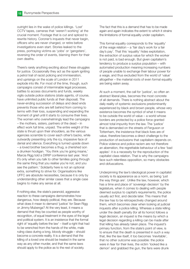outright lies in the wake of police killings. 'Lost' CCTV tapes, cameras that 'weren't working' at the crucial moment. Footage that is cut and spliced to rewrite history. Coroner's inquests that never begin, officers who are never charged, or retire before investigations even start. Stories leaked to the press, portraying victims as 'yobs' or 'gangsters', reversing the order of events, blaming them for their own deaths.

There's rarely anything exciting about these struggles for justice. Occasionally they act as the spark igniting a petrol trail of racist policing and immiseration, and uprisings on the scale of London in 2011 explode into life. For most of the time, though, such campaigns consist of interminable legal processes, battles to access documents and funds, weekly vigils outside police stations (state agents, of course, have unlimited public funds at their disposal). The never-ending succession of delays and dead ends prevents those who are left behind from coming to terms with their loss, suspending and expanding the moment of grief until it starts to consume their lives. The women who overwhelmingly lead the campaigns – the mothers, sisters, partners of the dead – in effect work full time, unpaid. The entire weight of the state is thrust upon their shoulders, as the various agencies scramble to cover each other's backs, while outwardly presenting only the icy, impassive face of denial and silence. Everything is turned upside down – a loved brother becomes a thug, a cherished son a drunken hooligan. 'You think you're going insane,' Marcia Rigg told a DtRtP conference last year. 'And it's only when you talk to other families going through the same thing that you realise you're not, and you see the pattern.' Solidarity here is not an optional extra, something to strive for. Organisations like UFFC are absolute necessities, because it is only by understanding other similar cases that a single case begins to make any sense at all.

If nothing else, the state's paranoid, aggressive reaction to these campaigns demonstrates how dangerous, how deeply political, they are. Because what does it mean to demand 'justice' for Sean Rigg or Jimmy Mubenga? At the very least, it means a demand that they be counted as people worthy of recognition, of equal treatment in the eyes of the legal and political system. It is an insistence that the formal right of 'equality before the law' – itself a right that had to be wrenched from the hands of the white, male ruling class during a long, bloody struggle – should become a concrete reality. It is a demand that the killing of a loved one should be treated in the same way as any other murder, and that the same laws should apply to the police as to the rest of society.

The fact that this is a demand that has to be made again and again indicates the extent to which it strains the limitations of formal equality under capitalism.

This formal equality corresponds to the 'equality' of the wage relation – a 'fair day's work for a fair day's pay'. That this 'equality' hides exploitation, the extraction of surplus value for which the worker is not paid, is bad enough. But given capitalism's tendency to produce a surplus population – with automated production meaning increasing numbers of people unable to exchange their labour power for a wage, and thus excluded from the world of 'value' altogether – the material roots of even formal equality are being eaten away.

At such a moment, the call for 'justice', so often an abstract liberal plea, becomes the most concrete of all demands. There is nothing abstract about the daily reality of systemic exclusions predominantly experienced by black and brown people, whose very existence becomes the symbol of what it means to be outside the world of value – a world whose borders are protected by a police force granted almost total impunity from the law. The 'justice' that is demanded on the streets of Ferguson or Tottenham, the insistence that black lives are of value, therefore becomes a direct challenge to the production of exclusions that capitalism depends on. Police violence and police racism are not therefore an aberration, the regrettable behaviour of a few 'bad apples': it is a necessity for the reproduction of the capitalist class relation. That is why the campaigns face such relentless opposition, so many obstacles and obfuscations.

Underpinning the law's ideological power in capitalist society is its appearance as a norm, as being 'just the way things are'. Unlike the law, however, which has a time and place of 'sovereign decision' by the legislature, when it comes to dealing with people deemed surplus to capital's requirements, the police usually act first, and decide later. This means that the law has to be retrospectively changed around them, which becomes clear when looking at judicial inquests after a police killing. Whereas a state killing under the death penalty (for all its horror) follows a legal decision, an inquest is the means by which a legal decision regarding a killing can be made after that killing has already taken place. The inquest's primary function, from the state's point of view, is to ensure that the death is presented in such a way that, like the law itself, it too becomes 'inevitable', that no other outcome was possible: the police were in fear for their lives, the victim 'looked like a demon' and grabbed the gun, the fans were drunk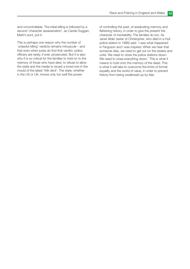and uncontrollable. The initial killing is followed by a second 'character assassination', as Carole Duggan, Mark's aunt, put it.

This is perhaps one reason why the number of 'unlawful killing' verdicts remains minuscule – and that even when juries do find that verdict, police officers are rarely, if ever, prosecuted. But it is also why it is so critical for the families to hold on to the memory of those who have died, to refuse to allow the state and the media to recast a loved one in the mould of the latest 'folk devil'. The state, whether in the US or UK, knows only too well the power

of controlling the past, of eradicating memory and flattening history, in order to give the present the character of inevitability. The families do too. As Janet Alder (sister of Christopher, who died in a Hull police station in 1998) said: 'I saw what happened in Ferguson and I was inspired. When we hear that someone dies, we need to get out on the streets and unite. We need to close the police stations down. We need to close everything down.' This is what it means to hold onto the memory of the dead. This is what it will take to overcome the limits of formal equality and the world of value, in order to prevent history from being swallowed up by fate.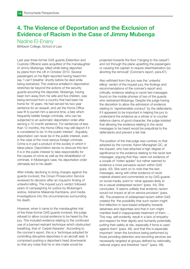# 4. The Violence of Deportation and the Exclusion of Evidence of Racism in the Case of Jimmy Mubenga

Nadine El-Enany

Birkbeck College, School of Law

Last year three former G4S guards (Detention and Custody Officers) were acquitted of the manslaughter of Jimmy Mubenga, killed while being deported by plane from the UK in October 2010. Several passengers on his flight reported having heard him say 'I can't breathe' shortly before he died while being restrained. The violence entailed in deportation stretches far beyond the actions of the security guards escorting the deportee. Mubenga, having been torn away from his wife and five children, was being removed from a country that had been his home for 16 years. He had served his two-year sentence for an assault, and yet the Home Office saw fit to punish him a second time, a fate which frequently befalls foreign criminals, who can be subjected to an automatic deportation order after serving a 12-month sentence. For sentences of less than 12 months, the Home Office may still deport if it is considered to be 'in the public interest'. Arguably, deportation can never be in the public interest, even in the case of the most serious foreign criminals. Crime is in part a product of the society in which it takes place. Deportation serves to obscure this fact. It is in the public interest to take responsibility for the causes of crime as well as the rehabilitation of criminals. In Mubenga's case, his deportation order ultimately led to his death.

After initially declining to bring charges against the guards involved, the Crown Prosecution Service reviewed its decision after an inquest's finding of unlawful killing. The inquest jury's verdict followed years of campaigning for justice by Mubenga's widow, Adrienne Makenda Kambana, and media investigations into the circumstances surrounding his death.

However, when it came to the manslaughter trial of the three former G4S guards involved, the judge refused to allow crucial evidence to be heard by the jury. This included evidence relating to the continued use of a banned restraint technique which obstructed breathing, that of 'Carpet Karaoke'. According to the coroner's report, this is a 'technique adopted for controlling disruptive deportees in an aircraft seat. It comprised pushing a deportee's head downwards so that any noise that he or she made would be

projected towards the floor ("singing to the carpet") and not through the plane upsetting the passengers or causing the captain to require disembarkation (so aborting the removal)' (Coroner's report, para.67).

Also withheld from the jury was the 'unlawful killing' verdict of the inquest jury, the findings and recommendations of the coroner's report and, critically, evidence relating to racist text messages found on the mobile phones of two of the guards who restrained Mubenga. Despite the judge having the discretion to allow the admission of evidence relating to 'reprehensible conduct' by the defendants if it appeared to be important in helping the jury to understand the evidence as a whole or to counter defence claims of good character, the judge insisted that allowing the evidence relating to the racist messages to be heard would be prejudicial to the defendants and prevent a fair trial.

The position of the trial judge was contrary to that adopted by the coroner, Karon Monaghan QC, at the inquest, who had attached a high degree of significance to the evidence relating to the racist text messages, arguing that they 'were not evidence of a couple of "rotten apples" but rather seemed to evidence a more pervasive racism within G4S' (para. 43). She went on to note that the text messages, along with other evidence of racist material shared and commented on by G4S guards on social media, point to 'what appears likely to be a casual widespread racism' (para. 44). She concluded: 'It seems unlikely that endemic racism would not impact at all on service provision' (para. 46). The presence of widespread racism within G4S created the 'the possibility that such racism might find reflection in race-based antipathy towards detainees and deportees and that in turn might manifest itself in inappropriate treatment of them … This may, self-evidently, result in a lack of empathy and respect for their dignity and humanity potentially putting their safety at risk, especially if force is used against them' (para. 46). and that this is especially important 'when the functions being performed by those providing detention and escorting services are necessarily targeted at groups defined by nationality, national origins and therefore "race"' (para. 48).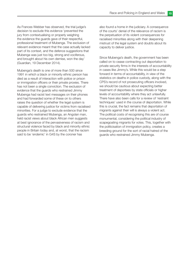As Frances Webber has observed, the trial judge's decision to exclude this evidence 'prevented the jury from contextualising or properly weighing the evidence the guards gave of their respectful, professional treatment of Mubenga. The exclusion of relevant evidence meant that the case actually lacked part of its context, and the defence suggestions that Mubenga was just too big, strong and vociferous, and brought about his own demise, won the day' (Guardian, 19 December 2014).

Mubenga's death is one of more than 500 since 1991 in which a black or minority ethnic person has died as a result of interaction with police or prison or immigration officers or their private proxies. There has not been a single conviction. The exclusion of evidence that the guards who restrained Jimmy Mubenga had racist text messages on their phones and had forwarded some of these on to others raises the question of whether the legal system is capable of delivering justice for victims from racialised minorities. For a judge to exclude evidence that the guards who restrained Mubenga, an Angolan man, held racist views about black African men suggests at best ignorance of the pervasiveness of racism and structural violence faced by black and minority ethnic people in Britain today and, at worst, that the racism said to be 'endemic' in G4S by the coroner has

also found a home in the judiciary. A consequence of the courts' denial of the relevance of racism is the perpetuation of its violent consequences for racialised minorities along with their deepening mistrust of the legal system and doubts about its capacity to deliver justice.

Since Mubenga's death, the government has been called on to cease contracting out deportation to private security firms in the interests of accountability in cases like Jimmy's. While this would be a step forward in terms of accountability, in view of the statistics on deaths in police custody, along with the CPS's record of not prosecuting officers involved, we should be cautious about expecting better treatment of deportees by state officials or higher levels of accountability where they act unlawfully. There have also been calls for a review of 'restraint techniques' used in the course of deportation. While this is crucial, the fact remains that deportation of migrants against their will is always a violent act. The political costs of recognising this are of course monumental, considering the political industry of scapegoating migrants for votes. This, together with the politicisation of immigration policy, creates a breeding ground for the sort of racial hatred of the guards who restrained Jimmy Mubenga.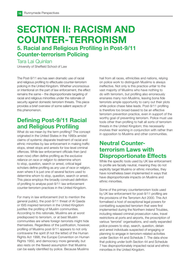# SECTION II: RACISM AND COUNTER-TERRORISM 5. Racial and Religious Profiling in Post-9/11 Counter-terrorism Policing

Tara Lai Quinlan

University of Sheffield School of Law

The Post-9/11 era has seen dramatic use of racial and religious profiling to effectuate counter-terrorism policing in the United Kingdom. Whether unconscious or intentional on the part of law enforcement, the effect remains the same – the disproportionate targeting of racial and religious minorities under the rationale of security against domestic terrorism threats. This piece provides a brief overview of some salient aspects of this phenomenon.

# Defining Post-9/11 Racial and Religious Profiling

What do we mean by the term profiling? The concept originated in the United States in the 1990s amidst claims of systemic disparate treatment of racial and ethnic minorities by law enforcement in making traffic stops, street stops and arrests for low-level criminal offences. While law enforcement officials then (and even now) often define profiling as the exclusive reliance on race or religion to determine whom to stop, question, search or arrest, critical legal scholars define profiling as any use of race or religion, even where it is just one of several factors used to determine whom to stop, question, search or arrest. This piece employs the broadly construed definition of profiling to analyse post-9/11 law enforcement counter-terrorism practices in the United Kingdom.

For many in law enforcement (not to mention the general public), the post-9/11 threat of Al Qaeda or ISIS inspired terrorism in the United Kingdom justifies the profiling of Muslim communities. According to this rationale, Muslims are at worst predisposed to terrorism, or at best Muslim communities are where foreign terrorists might hide themselves. Regardless of the justification, however, profiling of Muslims post-9/11 appears to not only contravene the spirit (if not the letter) of the Human Rights Act 1998, the Europe Convention on Human Rights 1950, and democracy more generally, but also rests on the flawed assumption that Muslims can be easily identified by police. Because Muslims

hail from all races, ethnicities and nations, relying on police work to distinguish Muslims is always ineffective. Not only is this practice unfair to the vast majority of Muslims who have nothing to do with terrorism, but profiling also erroneously ensnares many non-Muslims, leaving bona fide terrorists ample opportunity to carry out their plots while police chase false leads. Post-9/11 profiling is therefore too broad-based to be an effective terrorism prevention practice, even in support of the worthy goal of preventing terrorism. Police must use tools other than profiling to halt all sorts of terrorism threats in the United Kingdom; this necessarily involves their working in conjunction with rather than in opposition to Muslims and other communities.

# Neutral Counterterrorism Laws with Disproportionate Effects

While the specific tools used by UK law enforcement to profile are facially neutral, meaning they do not explicitly target Muslims or ethnic minorities, they have nonetheless been implemented in ways that have disproportionate impacts on Muslims and ethnic minorities.

Some of the primary counterterrorism tools used by UK law enforcement for post-9/11 profiling are the provisions of the Terrorism Act 2000. This Act formalised a host of exceptional legal powers for combatting suspected terrorism that were first implemented during the Northern Ireland Troubles, including relaxed criminal prosecution rules, travel restrictions at ports and airports, the proscription of various 'terrorist' organisations, and vastly expanded police powers to stop, search, question, detain and arrest individuals suspected of engaging or planning to engage in terrorism-related activities under Section 44 and Schedule 7. The data show that policing under both Section 44 and Schedule 7 has disproportionately impacted racial and ethnic minorities in the United Kingdom.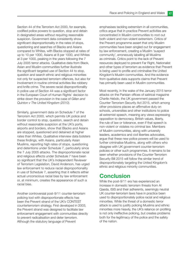Section 44 of the Terrorism Act 2000, for example, codified police powers to question, stop and detain in designated areas without requiring reasonable suspicion. Government data consistently show significant disproportionality in the rates of stops, questioning and searches of Blacks and Asians compared to Whites, with Blacks stopped at rates of up to 10 per 1000, Asians at 8 per 1000, and Whites at 3 per 1000, peaking in the years following the 7 July 2005 terror attacks. Qualitative data from Black, Asian and Muslim communities further illustrate the significant targeted use of Section 44 to stop, question and search ethnic and religious minorities not only for suspected terrorism offences, but also for involvement in routine criminal activities like robbery and knife crime. The severe racial disproportionality in police use of Section 44 was a significant factor in the European Court of Human Rights' decision to strike down the provision in the case of Gillan and Quinton v The United Kingdom (2010).

Similarly, government data on Schedule 7 of the Terrorism Act 2000, which permits UK police and border control to stop, question, search and detain without reasonable suspicion at the UK's ports, airports and borders, show that Blacks and Asians are stopped, questioned and detained at higher rates than Whites. Qualitative interview data bolsters these findings, with Asians, particularly Asian Muslims, reporting high rates of stops, questioning and detentions under Schedule 7, particularly since the 7 July 2005 attacks. The disproportionate racial and religious effects under Schedule 7 have been so significant that the UK's Independent Reviewer of Terrorism Legislation, David Anderson, has urged law enforcement to reduce racial disproportionality in use of Schedule 7, asserting that it reflects either actual unconscious racial bias by law enforcement or, at minimum, creates the appearance of such a racial bias.

Another controversial post-9/11 counter-terrorism policing tool with disproportionate effects has been the Prevent strand of the UK's CONTEST counterterrorism strategy. First developed in 2003, the Prevent strand was designed to facilitate law enforcement engagement with communities directly to prevent radicalisation and deter terrorism. Although the statutory language of Prevent

emphasises tackling extremism in all communities, critics argue that in practice Prevent activities are concentrated in Muslim communities to root out both violent and non-violent extremism. Critics of the Prevent programme assert that only Muslim communities have been singled out for engagement by law enforcement, creating a Muslim 'suspect community', erroneously labelling all Muslims as criminals. Critics point to the lack of Prevent resources deployed to prevent Far Right, Nationalist and other types of terrorism as evidence that Prevent is being used to profile and criminalise the United Kingdom's Muslim communities. And the evidence from qualitative data supports claims that Prevent has primarily been used in Muslim communities.

Most recently, in the wake of the January 2015 terror attacks on the Parisian offices of satirical magazine Charlie Hebdo, the UK government passed the Counter-Terrorism Security Act 2015, which among other provisions places an affirmative duty on schools, universities and other institutions to police all extremist speech, meaning any views expressing opposition to democracy, British values, liberty, the rule of law or tolerance, even if that speech is non-violent or violates no criminal law. Members of Muslim communities, along with university leaders, academics and civil liberties advocates, argue that these new police powers will be used to further criminalise Muslims, along with others who disagree with UK government counter-terrorism policies or other such programmes. It remains to be seen whether provisions of the Counter-Terrorism Security Bill 2015 will follow the similar trend of disproportionately targeting the United Kingdom's ethnic and religious minority communities.

#### **Conclusion**

While the post-9/11 era has experienced an increase in domestic terrorism threats from Al Qaeda, ISIS and their adherents, seemingly neutral UK counter-terrorism laws have in practice been used to disproportionately police racial and religious minorities. While the threat of a domestic terror attack is used to justify policing Muslims and ethnic minorities more heavily, the UK's reliance on profiling is not only ineffective policing, but creates problems both for the legitimacy of the police and the safety of the nation.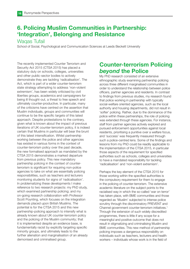# 6. Policing Muslim Communities in Partnership: 'Integration', Belonging and Resistance

#### Waqas Tufail

School of Social, Psychological and Communication Sciences at Leeds Beckett University

The recently implemented Counter Terrorism and Security Act 2015 (CTSA 2015) has placed a statutory duty on schools, colleges, universities and other public-sector bodies to actively demonstrate they are tackling 'radicalisation'. The Act, which is part of a wider counter-terrorism state strategy attempting to address 'non-violent extremism', has been widely criticised by civil liberties groups, academics and campaigners for being ill thought-out, a threat to free speech and ultimately counter-productive. In particular, many of the criticisms have centred on the assertion that Muslim individuals, groups and communities will continue to be the specific targets of this latest approach. Despite protestations to the contrary, given what is known about the impact of previous iterations of UK counter-terrorism policy, it is indeed certain that Muslims in particular will bear the brunt of this latest intensification. Whilst partnership working between the police and other agencies has existed in various forms in the context of counter-terrorism policy over the past decade, the new formalised approach as mandated by the CTSA 2015 demonstrates a marked departure from previous policy. This new mandatory partnership policing in the context of counterterrorism is significant for requiring non-police agencies to take on what are essentially policing responsibilities, such as teachers and lecturers monitoring students for signs of 'radicalisation'. In problematizing these developments I make reference to two research projects: my PhD study, which examined partnership policing; and my on-going research collaboration with Professor Scott Poynting, which focuses on the integration demands placed upon British Muslims. The potential is for the CTSA 2015 and this new partnership-policing approach to intensify what is already known about UK counter-terrorism policy and the policing of the Muslim community; that it is implemented despite an evidence base, is fundamentally racist by explicitly targeting specific minority groups, and ultimately leads to the further alienation and marginalisation of an already demonised and criminalised group.

# Counter-terrorism Policing beyond the Police

My PhD research consisted of an extensive ethnographic study examining partnership policing across three different marginalised communities in order to understand the relationship between police officers, partner agencies and residents. In contrast to findings from previous studies, my research found that police working in partnership with typically social-welfare oriented agencies, such as the local authority and housing departments, did not result in 'softer' policing. Rather, due to the dominance of the police within these partnerships, the role of policing was extended through these agencies. For instance, staff from partner agencies actively explored and pursued enforcement opportunities against local residents, prioritising a punitive over a welfare focus, and 'success' was frequently measured through such a police-centred lens. Some of the findings and lessons from my PhD could be readily applicable to the implementation of the CTSA 2015, in particular those aspects of the requirement for specified authorities such as schools, colleges and universities to have a mandated responsibility for tackling 'radicalisation' and 'non-violent extremism'.

Perhaps the key element of the CTSA 2015 for those working within the specified authorities is the compulsory requirement for them to engage in the policing of counter-terrorism. The extensive academic literature on the subject points to the racialised way in which the so-called 'war on terror' has taken place, with BME communities and those regarded as 'Muslim' subjected to intense police scrutiny through the discriminatory PREVENT and Channel government counter-terrorism initiatives.<sup>1</sup> Through the extension of such widely discredited programmes, there is little if any scope for a meaningful and positive outcome that does not result in stigmatizing and criminalising Muslim and BME communities. This new method of partnership policing imposes a dangerous responsibility on individuals such as teachers, lecturers and health workers – individuals whose work is in the field of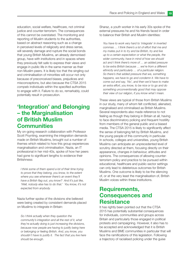education, social welfare, healthcare, not criminal justice and counter-terrorism. The consequences of this cannot be overstated. The monitoring and reporting of Muslim students to the authorities, based on abstract reasoning such as a change in perceived levels of religiosity and dress sense, will severely damage and rupture the social bonds that young British Muslims, an already demonised group, have with institutions and in spaces where they previously felt safe to express their views and engage in public life in the same manner as their non-Muslim peers. It is likely too that the singling out and criminalisation of minorities will occur not only because of preconceived biases, prejudices and misconceptions, but also because the CTSA 2015 compels individuals within the specified authorities to engage with it. Failure to do so, remarkably, could potentially result in prosecution.

# 'Integration' and Belonging – the Marginalisation of British Muslim **Communities**

My on-going research collaboration with Professor Scott Poynting, examining the integration demands made on British Muslims, brought out a number of themes which related to how this group experiences marginalisation and criminalisation. Nazia, an IT professional in her mid-40s, spoke of how her peers had gone to significant lengths to evidence their Britishness:

I think some of them spend a lot of their time trying to prove that they belong, you know, to the extent where you see whenever there's an event they'll have a British flag out, you know? And it's just like, 'Well, nobody else has to do that.' You know, it's not expected from anybody.

Nazia further spoke of the divisions she believed were being created by consistent demands placed on Muslims to integrate in Britain:

So I think actually when they question the community's integration and all the rest of it, what they're actually doing is just increasing the divisions, because now people are having to justify being here or belonging or feeling British. And, you know, you shouldn't have to justify it. The fact that you live here should be enough.

Sharaz, a youth worker in his early 30s spoke of the external pressures he and his friends faced in order to balance their British and Muslim identities:

You have to work very hard to 'integrate' in inverted commas … I think there's a lot of effort that me and my mates put in to try and be British, try and live up to a certain expectation or what the people, the wider community, have in mind of how we should act and I think there's more of … an added pressure to be extra British because … we're from a different ethnicity and particularly … of a particular religion. So there's that added pressure that we, something happens, we have to go and condemn it. We have to come out and say, 'No', and then we'd have to make an extra effort, you know, to be nice or to go and do something unconventionally good that may oppose their view of our religion, if you know what I mean.

These views are typical of those from British Muslims in our study, many of whom felt conflicted, alienated, marginalised and criminalised as British Muslims. Several respondents also made reference to not feeling as though they belong in Britain at all, having to face discriminatory policing and frequent hostility from members of the general public and a biased media. The CTSA 2015 is likely to significantly affect the sense of belonging felt by British Muslims, and the young people of this community in particular. In schools, colleges and universities, young British Muslims can anticipate an unprecedented level of scrutiny directed at them, focusing directly on their appearance, changes in behaviour, attitudes and opinions. The consequences of allowing counterterrorism policy and practice to be pursued within educational, healthcare and public-sector settings can only lead to deleterious outcomes for British Muslims. One outcome is likely to be the silencing of, or at the very least the marginalisation of, British Muslim voices within these institutions.

## Requirements, Consequences and **Resistance**

It has rightly been pointed out that the CTSA 2015 has potentially substantial consequences for individuals, communities and groups across Britain and particularly those engaged in political protests and campaigning. However, it also has to be accepted and acknowledged that it is British Muslims and BME communities in particular that will face the ramifications of this legislation. Following a trajectory of racialised policing under the guise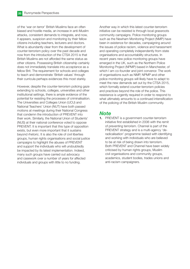of the 'war on terror' British Muslims face an often biased and hostile media, an increase in anti-Muslim attacks, consistent demands to integrate, and now, it appears, suspicion and monitoring by their fellow citizens including teachers, lecturers and doctors. What is abundantly clear from the development of counter-terrorism policy over the past decade and now from the introduction of the CTSA 2015 is that British Muslims are not afforded the same status as other citizens. Possessing British citizenship certainly does not immediately translate into acceptance as a fellow Brit. The requirement for schools and colleges to teach and demonstrate 'British values' through their curricula perhaps evidences this most starkly.

However, despite the counter-terrorism policing gaze extending to schools, colleges, universities and other institutional settings, there is ample evidence of the potential for resisting the processes of criminalisation. The Universities and Colleges Union (UCU) and National Teachers' Union (NUT) have both passed motions at meetings during their National Congress that condemn the introduction of PREVENT into their work. Similarly, the National Union of Students' (NUS) at their national conference voted to oppose PREVENT. It is important that this type of opposition exists, but even more important that it sustains beyond rhetoric. It is also the role of civil liberties groups, human rights organisations and social justice campaigns to highlight the abuses of PREVENT and support the individuals who will undoubtedly be impacted by its latest implementation. Indeed, many such groups have carried out advocacy and casework over a number of years for affected individuals and groups with little to no funding.

Another way in which this latest counter-terrorism initiative can be resisted is through local grassroots community campaigns. Police monitoring groups such as the Newham Monitoring Project (NMP) have been in existence for decades, campaigning around the issues of police racism, violence and harassment and operating completely independently from state organisations and accountability structures. In recent years new police monitoring groups have emerged in the UK, such as the Northern Police Monitoring Project (NPMP) based in Manchester, of which I am co-founder and joint convenor. The work of organisations such as NMP, NPMP and other police monitoring groups will likely have to adapt to meet the new demands set out by the CTSA 2015, which formally extend counter-terrorism policies and practices beyond the role of the police. This resistance is urgently required in order to respond to what ultimately amounts to a continued intensification of the policing of the British Muslim community.

#### **Note**

1. PREVENT is a government counter-terrorism initiative first established in 2006 with the remit of preventing terrorism. Channel is part of the PREVENT strategy and is a multi-agency 'deradicalisation' programme tasked with identifying and working with individuals who are believed to be at risk of being drawn into terrorism. Both PREVENT and Channel have been widely criticised by human rights groups, Muslim civil organisations and community groups, academics, student bodies, trades unions and anti-racism campaigners.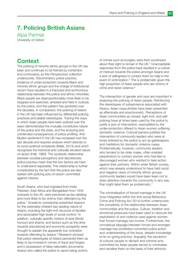# 7. Policing British Asians

Alpa Parmar University of Oxford

# **Context**

The policing of minority ethnic groups in the UK has been and continues to be framed by contention and controversy, as this Perspectives collection underscores. Discriminatory police practice, evidence of under-protection towards Black and minority ethnic groups and the charge of institutional racism have resulted in a fractured and acrimonious relationship between the police and ethnic minorities. Black people are disproportionately more likely to be stopped and searched, arrested and held in custody by the police, and this pattern has persisted over the decades. In comparison, the policing of Asians in the UK has been influenced by differential policing practices and pliable stereotypes. Tracing the ways in which Asian people have been policed over the years demonstrates the mutually constitutive nature of the police and the state, and the enduring and unintended consequences of police profiling. Anti-Muslim sentiment in the UK has increased over the last decade and requires analysis which attends to its socio-political complexity (Malik, 2013) and which recognizes the historical and culturally situated nature of racism (Hall, 1980). The symbiotic relationship between societal perceptions and discretionary police practice mean that the two factors are hard to understand separately. This relationship is further complicated by the fact that the police are also tasked with policing acts of racism committed against citizens.

South Asians, who had migrated from India, Pakistan, East Africa and Bangladesh from 1945 onwards to the UK, were perceived as law-abiding and more likely to be victims than offenders by the police.1 Academic scholarship presented reasons for the ostensibly inherent law-abiding nature of Asians, including the tight-knit structure of families and associated high levels of social control.<sup>2</sup> In addition, culturally specific notions of izzat (family honour) and shame, and factors such as the drive towards educational and economic prosperity were thought to explain the apparently low inclination towards offending by Asians.<sup>3</sup> Research showed that police stereotypes of Asians perceived them as likely to be involved in crimes of fraud and forgery and in possession of false nationality documents. Asians who called the police to report being victims

of crimes such as burglary were then scrutinized about their right to remain in the UK.<sup>4</sup> Unacceptable responses from the police have resulted in a culture of mistrust towards the police amongst Asians and a lack of willingness to contact them for help in the event of victimization.<sup>5</sup> This is problematic given the high proportion of Asian people who are victims of crime and racist violence.<sup>6</sup>

The intersection of gender and race are important in analysing the policing of Asian people. Reinforcing the stereotypes of subservience associated with Asians, Asian masculinities have been presented as effeminate and anachronistic. Perceptions of Asian communities as closed, tight-knit, and selfpolicing have at times been used by the police to justify a lack of intervention, exemplified by the under-protection offered to Asian women suffering domestic violence. Cultural barriers justified the intervention of community leaders who were at times enlisted by the police to act as gatekeepers and mediators for domestic violence cases. Problematically, however, community leaders, who tended to be older males, often enabled perpetrators to contact women who had fled or discouraged women who wanted to take action against their partners. Within wider British society, which was already understood to have held racist and negative views of minority ethnic groups, community leaders would have been keen not to draw attention towards the community in any way that might label them as problematic.<sup>7</sup>

The criminalisation of forced marriage in the UK (now integrated within the Anti-social Behaviour, Crime and Policing Act 2014) further underscores the complexity of the relationship between Asian communities and the police. Culture, tradition and emotional pressures have been used to obscure the exploitation of and violence used against women that forced marriage can involve. Furthermore, the conceptual slippage between forced and arranged marriage has prohibited concerted police action and understanding of the issue, despite knowledge of its on-going practice. Arguably, the ascription of cultural causes to deviant and criminal acts committed by Asian people serves to criminalise and racialise them on the basis of their ethnicity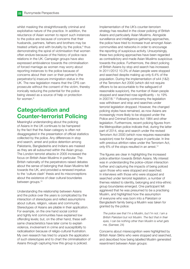whilst masking the straightforwardly criminal and exploitative nature of the practice. In addition, the reluctance of Asian women to report such instances to the police are because of concerns that their husbands, partners, fathers and brothers may be treated unfairly and with brutality by the police,<sup>8</sup> thus demonstrating the spiral of victimisation that women often endure because of the history of police race relations in the UK. Campaign groups have also expressed ambivalence towards the criminalisation of forced marriage as women may worry about reporting instances to the police because of concerns about their own or their partner's (the perpetrator's) insecure immigration status in the UK. The new legislation means that the CPS can prosecute without the consent of the victim, thereby ironically reducing the potential for the police being viewed as a source of help or protection for women.<sup>9</sup>

# Categorisation and Counter-terrorist Policing

Meaningful understanding about the policing of Asians in the UK continues to be hampered by the fact that the Asian category is often not disaggregated in the presentation of official statistics collected by the police. Any differences in stop and search, arrest and police detention among Pakistanis, Bangladeshis and Indians are masked as they are all subsumed within the Asian group. The London terrorist attacks in 2005 increased the focus on British Asian Muslims in particular. The British nationality of the perpetrators raised debates about the sense of belonging that Asian Muslims felt towards the UK, and provided a renewed impetus to the 'culture clash' thesis and its misconceptions about the existence of clear cultural boundaries between groups.<sup>10</sup>

Understanding the relationship between Asians and the police over the years is complicated by the interaction of stereotypes and reified assumptions about culture, religion, values and community. Stereotypes of Asians are pliable in their application. For example, on the one hand social control and tightly knit communities have explained low offending levels; but, on the other hand, these selfsame characteristics have later come to explain violence, involvement in crime and susceptibility to radicalisation because of religio-cultural frustration. My own research has tried to unpack the application of such stereotypes and to chart the criminalisation of Asians through capturing how this group is policed.

Implementation of the UK's counter-terrorism strategy has resulted in the closer policing of British Asians and particularly Asian Muslims. Alongside surveillance and intelligence-gathering approaches, the police have tried to increase trust amongst Asian communities and networks in order to encourage the reporting of suspicious activity. Unsurprisingly, these two policing approaches have been regarded as contradictory and made Asian Muslims suspicious towards the police. Furthermore, the direct policing of British Asians by stop and search has increased. In 2011/2012 10.3% of Asian people were stopped and searched despite making up only 6.4% of the population. During the implementation of s44 (1&2) of the Terrorism Act 2000 (which did not require officers to be accountable to the safeguard of reasonable suspicion), the number of Asian people stopped and searched rose significantly – to 19% in 2007/8.11 Following controversy the legislation was withdrawn and stop and searches under terrorist legislation dropped. However, the changed policing styles have remained, as now Asians are increasingly more likely to be stopped under the Police and Criminal Evidence Act 1984 and other legislation. Furthermore, recent policing figures from the Metropolitan police indicate that, during the latter part of 2014, stop and search under the revised Terrorism Act 2000 (which now requires reasonable suspicion) rose for Asian groups in particular. In line with previous attrition rates under the Terrorism Act, only 6% of the stops resulted in an arrest.<sup>12</sup>

The figures are clear in highlighting the increased police attention towards British Asians. My interest was in understanding the police–citizen interaction further and capturing the impacts of being policed upon those who were stopped and searched. In interviews with those who were stopped and searched under terrorist legislation, a number of themes related to identity, belonging and intra-ethnic group boundaries emerged. One participant felt aggrieved that he was presumed to be a practising Muslim, and highlighted how the assumption of everyone who was born into a Pakistani or Bangladeshi family being a Muslim was taken for granted by the police:

The police see that I'm a Muslim, but I'm not. I am a British Pakistani but not Muslim. The fact that in their eyes, I can be nothing other than Muslim is what gets me. (Sameer, 24)

Concerns about misrecognition were highlighted by British Asian Sikhs who were stopped and searched, and described how being labelled Muslim generated resentment between Asian groups: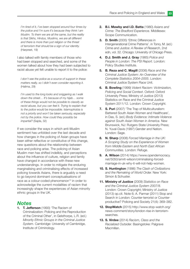I'm tired of it, I've been stopped around four times by the police and I'm sure it's because they think I am Muslim. To them we are all the same, but the reality is that Sikhs, Hindus, Muslims, we are all different and there is more than just religion or the threat of terrorism that should be a sign of our identity. (Harpreet, 19)

I also talked with family members of those who had been stopped and searched, and some of the women talked about how they had been subjected to racist abuse yet felt unable to report it to the police:

I don't see the police as a source of support in these matters really, so I didn't even consider reporting it. (Halima, 29)

I'm used to the long looks and sniggering as I walk down the street... It's because of my hijab... some of these things would not be possible to classify as racist abuse, but you can feel it. Trying to explain that to the police would be impossible. Islamophobia is not a priority and won't be taken seriously, especially not by the police. How could they possibly be impartial? (Sajda, 32)

If we consider the ways in which anti-Muslim sentiment has unfolded over the last decade and how changes in the policing of Asian groups have been either reflective or constitutive of this change, new questions about the relationship between race and policing arise. The policing of Asian Muslim men has shifted indelibly, and perceptions about the influence of culture, religion and family have changed in accordance with these new understandings. In order to mitigate the enduring marginalising and criminalising effects of increased policing towards Asians, there is arguably a need to go beyond dominant conceptualisations of race as a colour-coded phenomenon<sup>13</sup> in order to acknowledge the current modalities of racism that increasingly shape the experiences of Asian minority ethnic groups in the UK.

#### **Notes**

1. T. Jefferson (1993) 'The Racism of Criminalization: Policing and the Reproduction of the Criminal Other', in Gelsthorpe, L.R. (ed.) Minority Ethnic Groups in the Criminal Justice System. Cambridge: University of Cambridge, Institute of Criminology.

- 2. B.I. Mawby and I.D. Batta (1980) Asians and Crime: The Bradford Experience. Middlesex: Scope Communication.
- 3. D. Smith (2005) 'Ethnic Differences in Intergenerational Crime Patterns'. in Tonry, M. (ed.) Crime and Justice: A Review of Research, 2nd edn, vol. 32. Chicago: University of Chicago Press.
- 4. D.J. Smith and J. Gray (1985) Police and People in London: The PSI Report. London: Policy Studies Institute.
- 5. B. Reza and C. Magill (2006) Race and the Criminal Justice System: An Overview of the Complete Statistics 2004–2005. London: Criminal Justice System Race Unit.
- 6. B. Bowling (1999) Violent Racism: Victimization, Policing and Social Context. Oxford: Oxford University Press; Ministry of Justice (2013) Statistics on Race and the Criminal Justice System 2011/12. London: Crown Copyright.
- 7. S. Puri (2007) 'The Trap of Multiculturalism: Battered South Asian Women and Healthcare', in Das, S. (ed.) Body Evidence: Intimate Violence against South Asian Women in America. New Brunswick, NJ: Rutgers State University Press; N. Yuval-Davis (1997) Gender and Nation. London: Sage.
- 8. N. Sharp (2008) Forced Marriage in the UK: A Scoping Study on the Experience of Women from Middle Eastern and North East African Communities. London: Refuge.
- 9. A. Wilson (2014) https://www.opendemocracy. net/5050/amrit-wilson/criminalising-forcedmarriage-in-uk-why-it-will-not-help-women.
- 10. S. Huntington (1996) The Clash of Civilizations and the Remaking of World Order. New York: Simon & Schuster.
- 11. Ministry of Justice (2009) Statistics on Race and the Criminal Justice System 2007/8. London: Crown Copyright; Ministry of Justice (2013) op.cit. Note 6; A. Parmar (2011) Stop and Search in London: Counter-terrorist or Counterproductive? Policing and Society 21(4): 369–382.
- 12. StopWatch (2015) http://www.stop-watch.org/ news-comment/story/london-rise-in-terrorismsearches.
- 13. S. Virdee (2014) Racism, Class and the Racialized Outsider. Basingstoke: Palgrave **Macmillan**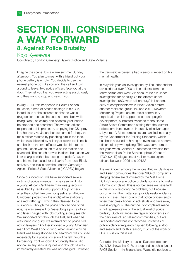# SECTION III. CONSIDERING A WAY FORWARD 8. Against Police Brutality

#### Kojo Kyerewaa

Coordinator, London Campaign Against Police and State Violence

Imagine the scene. It is a warm summer Sunday afternoon. You plan to meet with a friend but your phone battery is empty. You decide to use the nearest phone box. As you end the call and turn around to leave, two police officers face you at the door. They tell you that you were acting suspiciously and they want to stop and search you.

In July 2013, this happened in South London to Jason, a man of African heritage in his 30s. Incredulous at the assumption that he was a drug dealer because he used a phone box while being Black, he calmly and peacefully refused to be stopped and searched. The woman officer responded to his protest by emptying her CS spray into his eyes. As Jason then screamed for help, the male officer reacted by punching him in the face, which was followed by a litany of blows to his neck and back as the two officers wrestled him to the ground. Jason was taken to a police station and searched. The search proved fruitless, but Jason was later charged with 'obstructing the police'. Jason and his mother called for solidarity from local Black activists, and this is how the London Campaign Against Police & State Violence (LCAPSV) began.1

Since our inception, we have supported several victims of police violence. In one case, in Brixton, a young African-Caribbean man was grievously assaulted by Territorial Support Group officers after they pulled him over for greeting an African-Caribbean pedestrian (his uncle) while stationary at a red traffic light, which they deemed to be suspicious. Though the police cracked one of his ribs, he was arrested for 'assaulting a police officer' and later charged with 'obstructing a drug search'. We supported him through the trial, and when he was found not guilty, we referred him to police civil action lawyers.<sup>2</sup> Another involved a young Ghanaian man from West London who, when asking why his friend was being stopped and searched, was pushed repeatedly by a police officer until he fell through a barbershop front window. Fortunately the fall did not cause any serious injuries and though he was immediately arrested, he was not charged. However,

the traumatic experience had a serious impact on his mental health.

In May this year, an investigation by The Independent revealed that over 3000 police officers from the Metropolitan and West Midlands Police are under investigation for brutality. Of the officers under investigation, 98% were still on duty.<sup>3</sup> In London, 55% of complainants were Black, Asian or from another racialised group. In June 2012, Newham Monitoring Project, an anti-racist community organisation which supported our campaign's development, submitted evidence to the Home Affairs Select Committee,<sup>4</sup> stating that the 'current police complaints system frequently disadvantages a layperson'. Most complaints are handled internally by the Department for Policing Standards, which has been accused of having an overt bias to absolve officers of any wrongdoing. This was corroborated last year, when Channel 4 Dispatches revealed that the Metropolitan Police Service upheld 20 out of 4730 (0.4 %) allegations of racism made against officers between 2005 and 2012.<sup>5</sup>

It is well known among the various African, Caribbean and Asian communities that over 99% of complaints alleging racism are dismissed by the Met Police. LCAPSV encourage police brutality survivors to make a formal complaint. This is not because we have faith in this action resolving the problem, but because documenting the matter can provide useful evidence in a civil case. The impunity that police officers enjoy when they break bones, crack skulls and take away lives is egregious. The number of complaints made is not representative of the actual level of police brutality. Such instances are regular occurrences in the daily lives of radicalised communities, but are unreported and thus not recorded. Instances of police violence frequently happen following a stop and search and for this reason, much of the work of LCAPSV is on this issue.

Consider that Ministry of Justice Data recorded for 2011/12 shows that 91% of stop and searches (under PACE Section 1) in England and Wales did not lead to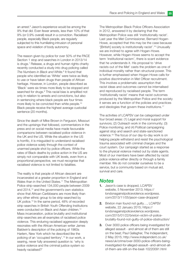an arrest.<sup>6</sup> Jason's experience would be among the 9% that did. Even fewer arrests, less than 10% of that 9% (or 0.9% overall) result in a conviction. Racialised people, especially Black people, are regularly subjected to this humiliating intrusion of personal space and violation of body autonomy.

The reason given by police for over 50% of the PACE Section 1 stop and searches in London in 2013/14 is drugs.<sup>7</sup> Release, a drugs and human rights charity recently conducted a study into drug policing called The Numbers in Black and White.<sup>8</sup> It found that people who identified as 'White' were twice as likely to use or have taken drugs than people of African heritage. However, in London, people described as 'Black' were six times more likely to be stopped and searched for drugs.<sup>9</sup> This racial bias is amplified not only in relation to arrests and convictions, but also in sentencing where black people are four times more likely to be convicted than white people.<sup>10</sup> Black people receive the highest average custodial sentence (20 months).

Since the death of Mike Brown in Ferguson, Missouri and the uprisings that followed, commentators in the press and on social media have made favourable comparisons between racialised police violence in the UK and the US. While the situation in the US is horrific, it is misguided to understand racialised police violence solely through the context of unarmed people shot by police officers. While the rates of Black deaths by police action in the US are simply not comparable with UK levels, even from a proportional perspective, we must recognise that racialised violence is not limited to fatalities.

The reality is that people of African descent are incarcerated at a greater proportion in England and Wales than in the United States.<sup>11</sup> The Metropolitan Police strip-searched 134,000 people between 2009 and 2014,<sup>12</sup> and the government's own statistics show that African-Caribbeans are more likely than any other ethnic group to be strip-searched by UK police.<sup>13</sup> In the same period, 48% of recorded strip-searches in British Youth Offending Institutions were conducted on Black and Asian children.<sup>14</sup> Mass incarceration, police brutality and institutional strip-searches are all examples of racialised police violence. This enduring racialised aggression deeply resonates with the African-American writer James Baldwin's description of the policing of 1960s Harlem, New York which he described like the policing of an 'occupied territory'.15 In our work, a searing, never fully answered question is: 'why is police violence and the criminal justice system so heavily racialised?'

The Metropolitan Black Police Officers Association in 2012, answered it by declaring that the Metropolitan Police was still 'institutionally racist'. Last year the Met Commissioner, Bernard Hogan-Howe, accepted that this may be the case because '[British] society is institutionally racist'.<sup>16</sup> Unusually we are inclined to agree with Hogan-Howe. However, while Hogan-Howe seems to accept the term 'institutional racism', there is scant evidence that he understands it. His proposal to 'drive racists out of the Met' casts the problem as one of individual morality rather than structural power. This is further emphasised when Hogan-Howe calls for positive discrimination in Met Officer recruitment. This involves a problematic assumption that racist ideas and outcomes cannot be internalised and reproduced by racialised people. The term 'institutionally racist' means that racist outcomes produced by the Metropolitan Police and the society it serves are a function of the policies and practices and ideologies that govern these institutions.<sup>17</sup>

The activities of LCAPSV can be categorised under four broad areas: (1) Legal and moral support for survivors; (2) Outreach work in the community; (3) Police monitoring; and (4) Political campaigning against stop and search and state-sanctioned violence.18 The focus of our day-to-day work is on helping people withstand and resist the psychological trauma associated with criminal charges and the court system. Our campaign started as a response to the physical violence meted out by state agents. Most of our members have been affected by racist police violence either directly or through a family member. We do not consider ourselves to be a service, but a community based on mutual aid, survival and care.

#### **Notes**

- 1. Jason's case is dropped, LCAPSV website, 5 November 2013; https:// londonagainstpoliceviolence.wordpress. com/2013/11/05/jason-case-dropped/
- 2. Brixton man found not guilty…, LCAPSV website, 22 January 2015; https:// londonagainstpoliceviolence.wordpress. com/2015/01/22/brixton-victim-of-policebrutality-found-not-guilty-of-police-obstruction/
- 3. Over 3000 police officers being investigated for alleged assault - and almost all of them are still on the beat; Paul Gallagher, The Independent, 2 May 2015; http://www.independent.co.uk/ news/uk/crime/over-3000-police-officers-beinginvestigated-for-alleged-assault--and-almost-allof-them-are-still-on-the-beat-10220091.html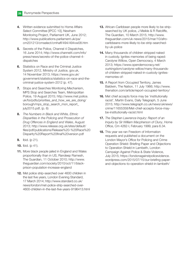- 4. Written evidence submitted to Home Affairs Select Committee [IPCC 10], Newham Monitoring Project, Parliament UK, June 2012; http://www.publications.parliament.uk/pa/ cm201213/cmselect/cmhaff/494/494vw08.htm
- **5.** Secrets of the Police, Channel 4 Dispatches, 16 June 2014; http://www.channel4.com/info/ press/news/secrets-of-the-police-channel-4 dispatches
- **6.** Statistics on Race and the Criminal Justice System 2012, Ministry of Justice, gov.uk, 14 November 2013; https://www.gov.uk/ government/statistics/statistics-on-race-and-thecriminal-justice-system-2012 (p. 47).
- 7. Stops and Searches Monitoring Mechanism, MPS Stop and Searches Team, Metropolitan Police, 19 August 2015; http://www.met.police. uk/foi/pdfs/priorities\_and\_how\_we\_are\_doing/ borough/mps\_stop\_search\_mon\_report\_ july2015.pdf, (p. 6)
- 8. The Numbers in Black and White, Ethnic Disparities in the Policing and Prosecution of Drug Offences in England and Wales, August 2013; http://www.release.org.uk/sites/default/ files/pdf/publications/Release%20-%20Race%20 Disparity%20Report%20final%20version.pdf
- **9.** Ibid. (p 21).
- **10.** Ibid. (p 41).
- **11.** More black people jailed in England and Wales proportionally than in US, Randeep Ramesh, The Guardian, 11 October 2010; http://www. theguardian.com/society/2010/oct/11/blackprison-population-increase-england
- 12. Met police strip-searched over 4600 children in the last five years, London Evening Standard, 17 March 2014; http://www.standard.co.uk/ news/london/met-police-strip-searched-over-4600-children-in-the-last-five-years-9196413.html
- 13. African-Caribbean people more likely to be stripsearched by UK police, J Meikle & R Ratcliffe, The Guardian, 10 March 2015; http://www. theguardian.com/uk-news/2015/mar/10/afrocaribbeans-more-likely-to-be-strip-searchedby-uk-police
- 14. Many thousands of children stripped naked in custody. Ignites memories of being raped: Carolyne Willow, Open Democracy, 4 March 2013; https://www.opendemocracy.net/ ourkingdom/carolyne-willow/many-thousandsof-children-stripped-naked-in-custody-ignitesmemories-of-
- **15.** A Report from Occupied Territory, James Baldwin, The Nation, 11 July 1966; http://www. thenation.com/article/report-occupied-territory/
- 16. Met chief accepts force may be 'institutionally racist', Martin Evans, Daily Telegraph, 5 June 2015; http://www.telegraph.co.uk/news/uknews/ crime/11655358/Met-chief-accepts-force-maybe-institutionally-racist.html
- 17. The Stephen Lawrence Inquiry: Report of an Inquiry by Sir William Macpherson of Cluny, Home Office, Cm 4262-I, February 1999, para 6.34.
- **18.** This year we ran Freedom of Information requests and published a document on the London Mayor's Office for Policing and Crime Operation Shield: Briefing Paper and Objections to Operation Shield in Lambeth, London Campaign Against Police & State Violence, July 2015; https://londonagainstpoliceviolence. wordpress.com/2015/07/15/our-briefing-paperand-objections-to-operation-shield-in-lambeth/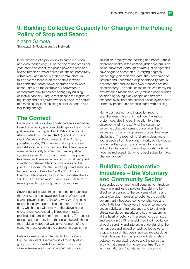# 9. Building Collective Capacity for Change in the Policing Policy of Stop and Search

#### Neena Samota

Stopwatch & Reclaim Justice Network

In the absence of a proven link to crime reduction, and even though only 9% of the one million stops per year lead to an arrest, the police power to stop and search remains a major source of tension, particularly within black and minority ethnic communities. In this article the focus is on the context in which this contested police power operates and to what effect. I draw on the example of StopWatch to demonstrate how to achieve change by building collective capacity. I argue that despite the legislative, regulatory and policy frameworks in place, the activist role remains key in stimulating collective debate and facilitating change.

#### The Context

Disproportionality, or disproportionate representation, based on ethnicity is a core challenge for the criminal justice system in England and Wales. The Home Affairs Select Committee (HASC) report on Young Black People and the Criminal Justice System, published in May 2007, noted that stop and search was still a cause for concern and that black people were twice as likely to enter the criminal justice system as a result of stop and search. The power has been, and remains, a central historical flashpoint in relations between black communities and the police. The indiscriminate use of stops and searches triggered riots in Bristol in 1980 and in London, Liverpool, Manchester, Birmingham and elsewhere in 1981. The Scarman report, $1$  as a result, called for a new approach to policing black communities.

Several decades later, the same concern regarding the over-use and unlawful application of stop-andsearch powers lingers. Reading the Riots,<sup>2</sup> a social research inquiry report published after the 2011 riots, which deals with many of the above-named cities, referenced enduring ill-treatment, racial profiling and harassment from the police. The lack of respect and courtesy from the police towards those they habitually stopped was a key element of the discontent expressed in the complaints against them.

Britain aspires to be a free, fair and just society but the persistent disadvantage of minority ethnic groups is by now well-documented. This is the case in several areas, including criminal justice,

education, employment, housing and health. Ethnic disproportionality in the criminal justice system is an indisputable fact. Although criminal justice agencies have begun to accept this, in varying degrees, based largely on their own data, they have failed to interpret and understand disproportionality data in a manner that ensures their own practices are not discriminatory. The seriousness of this can hardly be overstated: it means frequently missed opportunities for diverting young black people and first-time offenders away from the criminal justice system and ultimately prison. This process starts with policing.

Numerous research and inspection reports over the years have confirmed how the justice system operates in silos. In relation to ethnic disproportionality the ability of the system to serve the collective interests of communities it serves, particularly marginalised groups, has been challenged. The result of its failure is clear: more young people from black and minority ethnic groups now enter the system and stay in it for longer. Without a change, of course, disproportionality will never be redressed. But who is best suited to make change happen?

## Building Collaborative Initiatives – the Voluntary and Community Sector

Successive governments will continue to introduce new crime and justice policies that claim to be effective responses to the problems of crime and social disorder. In relation to policing, the coalition government introduced some key changes and policy initiatives. These were intended to improve accountability and transparency and to put high ethical standards, integrity and strong leadership at the heart of policing. A renewed focus on stop and search in 2013 re-established the importance of public scrutiny and interest in understanding the human cost and impact of such police powers. Stop and search has been reported repeatedly as the single issue that has 'poisoned relationships between young black people and the police', an activity that causes 'immense resentment', and as 'traumatic' and 'humiliating' for those who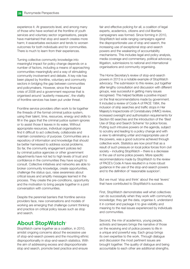experience it. At grassroots level, and among many of those who have worked at the frontline of youth services and voluntary sector organisations, people have maintained that stop and search creates more harm; it exacerbates exclusion and tends to worsen outcomes for both individuals and for communities. There is much to learn from their experiences.

Turning collective community knowledge into meaningful impact for policy change depends on a number of factors, including a means of approaching communities meaningfully and a way of stimulating community involvement and debate. A key role has been played by frontline, voluntary and community sectors in bridging the gap between communities and policymakers. However, since the financial crisis of 2008 and a government response that is organised around 'austerity measures', the vitality of frontline services has been put under threat.

Frontline service providers often work to tie together the threads of the formal criminal justice system, using their talent, time, resources, energy and skills to fill in the gaps that the criminal justice system ignores or to assist those it leaves in its wake. Without appropriate resources, individual organisations find it difficult to act collectively, collaborate and maintain consistency of purpose. Communities are a repository of information and knowledge that should be better harnessed to address social problems. So far, the community engagement policies led by criminal justice agencies or other government departments have not led to high levels of trust and confidence in the communities they have sought to consult. Collective initiatives and networks are able to broker community knowledge, create opportunities, challenge the status quo, raise awareness about critical issues and amplify messages learned in the process. They create the pre-conditions, opportunity and the motivation to bring people together in a joint conversation with communities.

Despite the perennial barriers that frontline service providers face, new conversations and models of working are emerging that challenge current thinking and practice on critical policy issues such as stop and search.

#### **About StopWatch<sup>3</sup>**

StopWatch came together as a coalition, in 2010, amidst ongoing concerns about the excessive use of stop-and-search powers and the mounting ethnic disproportionality in stop-and-search statistics. With the aim of addressing excess and disproportionate stop and search, promote best practice and ensure

fair and effective policing for all, a coalition of legal experts, academics, citizens and civil liberties campaigners was formed. Since forming in 2010, StopWatch led wide-ranging campaigns against the disproportionate use of stop and search, the increasing use of exceptional stop-and-search powers and the weakening of accountability mechanisms. This includes legal and policy analysis, media coverage and commentary, political advocacy, litigation, submissions to national and international organisations and community organising.

The Home Secretary's review of stop-and-search powers in 2013 is a notable example of StopWatch advocacy. The submission to this review, put together after lengthy consultation and discussion with different groups, was successful in getting many issues recognised. This helped facilitate a positive impact on the final recommendations made by government. It included a review of Code A of PACE 1984, the inclusion of strip searches and traffic stops in Her Majesty's Inspectorate of Constabulary (HMIC) review, increased oversight and authorisation requirements for Section 60 searches and the introduction of the 'Best Use of Stop and Search Scheme' for police forces. Putting such intrusive powers on the agenda, subject to scrutiny and leading to a policy change and with a view to eliminating unfair and inappropriate use of the powers, was a good outcome achieved through collective work. Statistics are now proof that as a result of such pressure on local police forces from civil society – including StopWatch – there is a decrease in the use of some police powers. More specific recommendations made by StopWatch to the review of PACE's Code A have resulted in a more robust guidance in the use of the stop-and-search powers and to the definition of 'reasonable suspicion'.

But we must 'stop and think' about the real 'levers' that have contributed to StopWatch's success.

First, StopWatch demonstrates well what collectives can do successfully when they work with community knowledge; they get the data, organise it, understand it in context and package it to give visibility and meaning to the real issues experienced by individuals and communities.

Second, the mix of academics, young people, activists and lawyers brings the narrative of those on the receiving end of police powers to life in a unique and powerful way. Each group brings its own expertise to the work. Through dialogue and discussion the most pertinent issues are brought together. The quality of dialogue and being accountable to each other are additional strengths.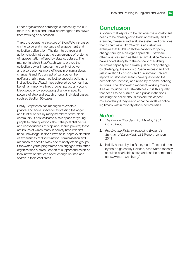Other organisations campaign successfully too but there is a unique and unrivalled strength to be drawn from working as a coalition.

Third, the operating structure of StopWatch is based on the value and importance of engagement and collective deliberation. The right to opinion and action should not be at the convenience of systems of representation offered by state structures. The manner in which StopWatch works proves that collective power improves the quality of power and also becomes more efficient in bringing about change. Gandhi's concept of sarvodaya (the uplifting of all) through collective capacity building is instructive. StopWatch has achieved outcomes that benefit all minority ethnic groups, particularly young black people, by advocating change in specific powers of stop and search through individual cases, such as Section 60 cases.

Finally, StopWatch has managed to create a political and social space for expressing the anger and frustration felt by many members of the black community. It has facilitated a safe space for young people to raise questions about the potential harms and consequences of stop-and-search powers; these are issues of which many in society have little firsthand knowledge. It also allows an in-depth exploration of experiences of discrimination, criminalisation and alienation of specific black and minority ethnic groups. StopWatch youth programme has engaged with other organisations outside London to support and establish local networks that can affect change on stop and search in their local areas.

#### **Conclusion**

A society that aspires to be fair, effective and efficient needs to be challenged to think innovatively, and to examine, measure and evaluate system-led practices that discriminate. StopWatch is an instructive example that builds collective capacity for policy change through a dialogic approach. Elsewhere other initiatives such as the Reclaim Justice Network have added strength to the concept of building collective capacity for criminal justice policy change by challenging the notion of 'penal excess' and not just in relation to prisons and punishment. Recent reports on stop and search have questioned the competence, honesty and reliability of some policing activities. The StopWatch model of working makes it easier to judge its trustworthiness. It is this quality that needs to be nurtured, and public institutions including the police should explore this aspect more carefully if they are to enhance levels of police legitimacy within minority ethnic communities.

#### **Notes**

- 1. The Brixton Disorders, April 10-12, 1981: Inquiry Report.
- 2. Reading the Riots: Investigating England's Summer of Discontent. LSE Report, London 2011.
- **3.** Initially hosted by the Runnymede Trust and then by the drugs charity Release, StopWatch recently acquired charitable status and can be contacted at: www.stop-watch.org/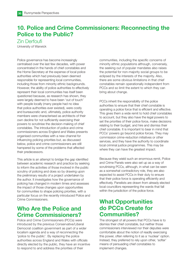# 10. Police and Crime Commissioners: Reconnecting the Police to the Public?

Zin Derfoufi

University of Warwick

Police governance has become increasingly centralised over the last few decades, with power concentrated in the hands of chief constables and the Home Secretary at the expense of local police authorities which had previously been deemed responsible for representing local communities, including those from minority ethnic backgrounds. However, the ability of police authorities to effectively represent their local communities has itself been questioned because, as research has shown, they were largely deemed to have been 'out of touch' with people locally (many people had no idea that police authorities ever existed), were costly and bureaucratic and, ultimately, police authority members were characterised as architects of their own decline for not sufficiently exercising their powers to scrutinise the decision-making of chief constables. The introduction of police and crime commissioners across England and Wales presents organised communities with a new channel for influencing policing priorities but, as discussed below, police and crime commissioners are still hampered by some of the problems that affected their predecessors.

This article is an attempt to bridge the gap identified between academic research and practice by seeking to inform the activities of those involved in the public scrutiny of policing and does so by drawing upon the preliminary results of a project undertaken by the author. It investigates how the governance of policing has changed in modern times and assesses the impact of those changes upon opportunities for communities to shape policing priorities, with a particular focus on the recently introduced Police and Crime Commissioners.

# Who Are the Police and Crime Commissioners?

Police and Crime Commissioners (PCCs) were introduced by the previous Conservative/Liberal Democrat coalition government as part of a wider localism agenda and a way of reconnecting the 'police to the public'. By replacing the police authorities across England and Wales with officials directly elected by the public, they have an incentive to respond to and address the priorities of their

communities, including the specific concerns of minority ethnic populations although, conversely, the seeking out of popular mandates also raises the potential for non-majority social groups to be eclipsed by the interests of the majority. Also, there are some obvious limitations in that chief constables remain operationally independent from PCCs and so limit the extent to which they can bring about change.

PCCs inherit the responsibility of the police authorities to ensure that their chief constable is operating a police force that is efficient and effective. This gives them a wide remit to hold chief constables to account, but they also have the legal powers to set the priorities of their police force, make decisions relating to their budget, and hire and dismiss their chief constable. It is important to bear in mind that PCCs' powers go beyond police forces. They may commission crime-reduction initiatives or other services, and they have the authority to coordinate local criminal justice programmes. This may be where they can have the greatest impact.

Because they wield such an enormous remit, Police and Crime Panels were also set up as a way of scrutinising PCCs, although, in what can be seen as a somewhat contradictory role, they are also expected to assist PCCs in their duty to ensure that their police force is operating efficiently and effectively. Panelists are drawn from already elected local councillors representing the wards that fall within the jurisdiction of the police force.

# What Opportunities do PCCs Create for Communities?

The strongest of all powers that PCCs have is to dismiss their chief constable, but neither those commissioners interviewed nor their deputies were comfortable about the notion of readily exercising this power, often referring to it as a 'nuclear' option. Instead, they preferred to rely upon other, 'softer' means of persuading chief constables to implement changes.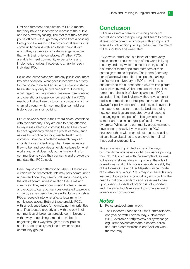First and foremost, the election of PCCs means that they have an incentive to represent the public and be outwardly facing. The fact that they are not police officers – though many come from a policing background – seems to be providing at least some community groups with an official channel with which they can more comfortably engage rather than with their chief constable. Whether PCCs are able to meet community expectations and implement priorities, however, is a task for each individual PCC.

Police and crime plans are, like any public document, key sites of action. What goes in becomes a priority for the police force and an issue the chief constable has a statutory duty to give 'regard' to. However, what 'regard' actually means has never been defined, and operational independence restricts the PCC's reach, but what it seems to do is provide one official channel through which communities can address historic concerns on policing.

PCCs' power is seen in their 'moral voice' combined with their authority. They are able to bring attention to key issues affecting communities and are known to have significantly raised the profile of many, such as deaths in police custody, mental health, and domestic violence. Academic research plays an important role in identifying what these issues are likely to be, and provides an evidence base for what works and what does not; but, ultimately, it is for communities to voice their concerns and provide the mandate that PCCs seek.

Here, paying closer attention to what PCCs can do outside of their immediate role may help communities understand how they seek to influence change, and the role of communities in relation their aims and objectives. They may commission bodies, charities and groups to carry out services designed to prevent crime or, as has been the case with Nottinghamshire PCCs, research into what affects local minority ethnic populations. Both of these provide PCCs with an evidence-base for formulating their priorities and, if conducted properly and with the buy-in of communities at large, can provide commissioners with a way of obtaining a mandate whilst also negotiating their way through the local politics and intra-community tensions between various community groups.

#### **Conclusion**

PCCs represent a break from a long history of centralised contol over policing, and seem to provide at least some community groups with an important avenue for influencing police priorities. Yet, the role of PCCs should not be overstated.

PCCs were introduced in a blaze of controversy: their election turnout was one of the worst in living memory and they were accused of cronyism after a number of them appointed members of their campaign team as deputies. The Home Secretary herself acknowledged this in a speech marking the first year anniversary of PCCs in which she characterised the current cohort as a 'mixed picture' but positive overall. Whilst some consider the low turnout and the lack of diversity amongst PCCs as undermining their legitimacy, they have a higher profile in comparison to their predecessors – if not always for positive reasons – and they still have their mandate to represent the public. Understanding how communities are impacted by and respond to changing landscapes of police governance is important to gaining a grasp of local power dynamics. Whilst some community group members have become heavily involved with the PCC structure, others with more direct access to police officers have abstained and preferred to maintain those earlier relationships.

This article has highlighted some of the ways community groups have sought to influence policing through PCCs but, as with the example of reforms to the use of stop-and-search powers, the role of powerful national public bodies persists, notably that of the Home Office and Her Majesty's Inspectorate of Constabulary. Whilst PCCs may now be a defining feature of local police accountability and scrutiny, the need for national standards and pressures to bear upon specific aspects of policing is still important and, therefore, PCCs represent just one avenue of influence for communities.

#### **Notes**

- 1. Police protocol terminology.
- 2. The Pioneers: Police and Crime Commissioners. one year on with Theresa May, 7 November 2013. Available at http://www.policyexchange. org.uk/modevents/item/the-pioneers-policeand-crime-commissioners-one-year-on-withtheresa-may.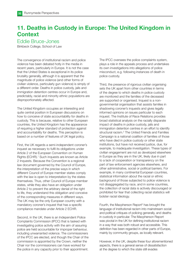# 11. Deaths in Custody in Europe: The United Kingdom in **Context**

#### Eddie Bruce-Jones

Birkbeck College, School of Law

The convergence of institutional racism and police violence has been debated hotly in the media in recent years, particularly in Europe. It is not the case that the United States is exceptional in its police brutality generally, although it is apparent that the magnitude of police violence (and other forms of civilian violence, particularly gun violence) is simply of a different order. Deaths in police custody, jails and immigration detention centres occur in Europe and, predictably, racial and minority ethnic populations are disproportionately affected.

The United Kingdom occupies an interesting and quite central position in European discussions on how to conceive of state accountability for deaths in custody. This is because, relative to other European countries, the United Kingdom has the appearance of requiring a higher standard of protection against and accountability for deaths. This perception is based on a number of features of UK legal policy.

First, the UK regards a semi-independent coroner's inquest as necessary to fulfil its obligations under Article 2 of the European Convention on Human Rights (ECHR).<sup>1</sup> Such inquests are known as Article 2 Inquests. Because the Convention is a regional law document governed by the Council of Europe, the interpretation of the precise ways in which different Council of Europe member states comply with the law is open to interpretation by the states themselves. Thus, other Council of Europe member states, while they also have an obligation under Article 2 to prevent the arbitrary denial of the right to life, they understand this obligation and conceive of the corresponding measures in different ways. The UK may be the only European country with a mandatory coroner's inquest that has a specific compliance mandate under Article 2 ECHR.

Second, in the UK, there is an Independent Police Complaints Commission (IPCC) that is tasked with investigating police activity with the aim of assuring police are held accountable for improper behaviour, including unwarranted violence. The commissioners of the IPCC are elected, and though the Chair of the commission is appointed by the Crown, neither the Chair nor the commissioners can have worked for the police in any capacity prior to their appointment.

The IPCC oversees the police complaints system, plays a role in the appeals process and undertakes its own investigations into allegations of police misconduct, e.g. following instances of death in police custody.

Third, the presence of rigorous civilian organising sets the UK apart from other countries in terms of the degree to which deaths in police custody are monitored and the families of the deceased are supported or organised. Inquest is a nongovernmental organisation that assists families in shadowing coroner's inquests and gives legally informed opinions on issues particular to each inquest. The Institute of Race Relations provides broad statistical analysis on the racially disparate impact of deaths in police custody, jails and immigration detention centres in an effort to identify structural racism.<sup>2</sup> The United Friends and Families Campaign is a national coalition of families of those who have died in police custody or other state institutions, but have not received justice, due, for example, to inadequate investigation. These types of civilian engagement are not as developed elsewhere in Europe as they are in the UK, likely due in part to a lack of cooperation or transparency on the part of law enforcement agencies elsewhere, and other administrative, social or political barriers. For example, in many continental European countries, statistical information about the racial or ethnic background of those subjected to police violence is not disaggregated by race, and in some countries, the collection of racial data is actively discouraged or prohibited for fear that collecting racial statistics will bolster racial ideology.

Fourth, the Macpherson Report<sup>3</sup> has brought the language of institutional racism into mainstream social and political critiques of policing generally, and deaths in custody in particular. The Macpherson Report was pivotal in the UK for defining institutional racism in a way that was both robust and accessible. This definition has been regarded in other parts of Europe, mainly by community groups, as locally relevant.

However, in the UK, despite these four aforementioned aspects, there is a general sense of dissatisfaction at the degree to which the state still evades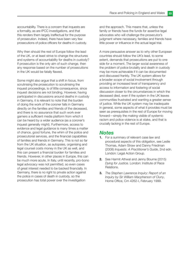accountability. There is a concern that inquests are a formality, as are IPCC investigations, and that this renders them largely ineffectual for the purpose of prosecution. Indeed, there have been very few prosecutions of police officers for deaths in custody.

Why then should the rest of Europe follow the lead of the UK, or at least strive to change the structures and systems of accountability for deaths in custody? If prosecution is the only aim of such change, then any response based on the number of prosecutions in the UK would be fatally flawed.

Some might also argue that a shift in focus, from scrutinising the prosecution to scrutinising the inquest proceedings, is of little consequence, since inquest decisions are not binding. However, having participated in discussions around deaths in custody in Germany, it is relevant to note that the burden of doing the work of the coroner falls in Germany directly on the families and friends of the deceased, and there is no assurance that such work ever garners a sufficient media platform from which it can be heard by a wider audience (as a coroner's inquest generally might). Furthermore, access to evidence and legal guidance is many times a matter of chance, good fortune, the whim of the police and prosecutorial services, and the financial capabilities of families and friends in Germany. This is not so far from the UK situation, as autopsies, organising and legal counsel costs money in the UK as well, and this can present a financial burden for families and friends. However, in other places in Europe, this can be much more acute. In Italy, until recently, pro-bono legal advocacy was not permitted, so even cases of great interest needed to be backed financially. In Germany, there is no right to private action against the police in cases of death in custody, so the prosecution has total power over the investigation

and the approach. This means that, unless the family or friends have the funds for assertive legal advocates who will challenge the prosecutor's judgment where necessary, families and friends have little power or influence in the actual legal trial.

A more persuasive answer as to why other European countries should follow the UK's lead, to some extent, demands that prosecutions are put to one side for a moment. The larger social awareness of the problem of police brutality and death in custody may be more achievable if it can be documented and discussed frankly. The UK system allows for a broader scope of social involvement through providing an increased level of transparency and access to information and fostering of social discussion closer to the circumstances in which the deceased died, even if the system in the UK leaves communities frustrated and wanting a greater sense of justice. While the UK system may be inadequate in general, some aspects of what it provides must be seen as prerequisites in the rest of Europe for moving forward—simply the making visible of systemic racism and police violence is at stake, and that is crucially lacking in the rest of Europe.

#### **Notes**

- 1. For a summary of relevant case law and procedural aspects of this obligation, see Leslie Thomas, Adam Straw and Danny Friedman (2008) Inquests: A Practitioner's Guide, 2nd edn. London: Legal Action Group.
- 2. See Harmit Athwal and Jenny Bourne (2015) Dying for Justice. London: Institute of Race Relations.
- **3.** The Stephen Lawrence Inquiry: Report of an Inquiry by Sir William Macpherson of Cluny, Home Office, Cm 4262-I, February 1999.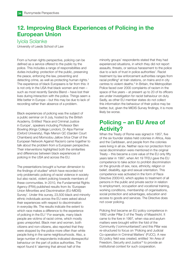# 12. Improving Black Experiences of Policing in the European Union

#### Iyiola Solanke

University of Leeds School of Law

From a human rights perspective, policing can be defined as a service offered to the public by the police. This includes a range of responsibilities and duties including: protection of the public, preserving the peace, enforcing the law, preventing and detecting crime, as well as protecting human rights.<sup>1</sup> The experience of black Europeans is far from this: it is not only in the USA that black women and men – such as most recently Sandra Bland – have lost their lives during interaction with the police. Things seem a little better in Europe – but this may be due to lack of recording rather than absence of a problem.

Black experiences of policing was the subject of a public seminar on 9 July, hosted by the British Academy. Entitled 'Race and Criminal Justice in Europe', speakers including Professor Ben Bowling (Kings College London), Dr Alpa Parmar (Oxford University), Rajiv Menon QC (Garden Court Chambers) and Momodou Jallow (Vice Chair of the European Network Against Racism) came together to talk about the problem from a European perspective. Their interventions highlighted both the similarities and differences between black experiences of policing in the USA and across the EU.

The presentations brought a human dimension to the findings of studies<sup>2</sup> which have recorded not only problematic policing of racist violence in society but also racist, violent policing towards members of these communities. In 2010, the Fundamental Rights Agency (FRA) published results from its 'European Union Minorities and Discrimination (EU-MIDIS) Survey'. Under this survey, 23,500 black and minority ethnic individuals across the EU were asked about their experiences with respect to discrimination in everyday life. The results indicate the extent to which race makes a difference to the experience of policing in the EU.<sup>3</sup> For example, many black people are victims of racist crime, which mostly goes unreported. Black men and women, both citizens and non-citizens, also reported that they were stopped by the police more often than white people living in the same neighbourhoods. Also, a large number of respondents indicated disrespectful behaviour on the part of police authorities. The report found it 'alarming that almost half of the

minority groups' respondents stated that they had experienced situations, in which they did not report assaults, threats, or serious harassment to the police due to a lack of trust in police authorities'. Racist treatment by law enforcement authorities ranges from racial profiling<sup>4</sup> at train stations, on trains and in city centres to violent deaths.<sup>5</sup> In Britain, the Metropolitan Police faced over 2000 complaints of racism in the space of five years – at present up to 20 of its officers are under investigation for racist behaviour on duty. Sadly, as other EU member states do not collect this information the behaviour of their police may be better, but, given the MIDIS Survey findings, it is more likely be worse.

## Policing – an EU Area of Activity?

When the Treaty of Rome was signed in 1957, five of the six founder states held colonies in Africa, Asia and the Caribbean, and people from the colonies were living in all six. Neither race nor protection from racial discrimination were mentioned in the original Treaty – this became a core value of the EU only fifty years later in 1997, when Art 19 TFEU gave the EU competence to take action to prohibit discrimination on the grounds of sex, race, ethnicity, religion or belief, disability, age and sexual orientation. This competence was activated in the form of Race Directive 2000/43, which applies to treatment of all persons in the public and private sector in relation to employment, occupation and vocational training, working conditions, membership of organisations, social protection and advantages, education and access to goods and services. The Directive does not cover policing.

Policing first became an EU policy competence in 1992 under Pillar 3 of the Treaty of Maastricht. It came to the fore in 1997, when visa and asylum matters were brought within the fold of the Community ('communitarised') and this Pillar was re-structured to focus on 'Policing and Judicial Co-operation in Criminal Matters' (PJCC). A new EU policy field was created, entitled 'An Area of Freedom, Security and Justice'<sup>6</sup> to provide an institutional context for such cooperation.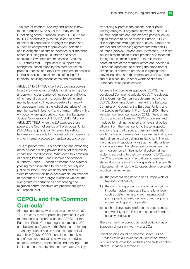This area of freedom, security and justice is now found in Articles 67 to 89 of the Treaty on the Functioning of the European Union (TFEU). Article 87 TFEU specifically gives the Union the power to establish cooperation amongst the police and authorities competent for prevention, detection and investigation of criminal offences in all member states, including police, customs and other specialised law enforcement services. Article 88 TFEU states that Europol should 'support and strengthen' action taken by the Member States' police authorities and other law enforcement services in their activities to tackle crimes affecting EU interests, including serious crime and terrorism.

Articles 67 to 89 TFEU give the EU policing powers to act in a wide variety of fields including immigration and asylum, cross-border crimes such as trafficking of humans, drugs or arms, computer crime, and money laundering. They also create a framework for cooperation among the judicial authorities of the member states in both civil and criminal matters – this will occur where appropriate through the European Judicial Co-operation Unit (EUROJUST). Yet under Article 276 TFEU, when the EU exercises these powers, the Court of Justice of the European Union (CJEU) has no jurisdiction to review the validity, legitimacy or necessity for national policing operations or their internal practices to maintain law and order.

Thus at present the EU is developing and exercising cross-border policing powers but is not required to ensure non-racist policing. What does this omission of policing from the Race Directive and national autonomy under EU action on internal and external policing mean in relation to freedom, security and justice for black Union residents and citizens? What impact will this have, for example, on freedom of movement? These larger questions will assume ever greater importance as new policing and migration control initiatives are pushed through at a European level.

## CEPOL and the 'Common Curricula'

Although an agency was created under Article 87 TFEU to carry forward police cooperation it is yet to take these questions seriously. CEPOL, or the European Police College, began operating in 2001 and became an Agency of the European Union on 1 January 2006. It has an annual budget of EUR 8.7 million (2008). CEPOL functions primarily as an enforcement education network. Its activities – courses, seminars, conferences and meetings – are implemented in and by the member states, mainly

by policing experts in the national senior police training colleges. It organises between 80 and 100 courses, seminars and conferences per year on key topics relevant to police forces in Europe. CEPOL also cooperates with agencies such as Europol and Interpol and has working agreements with non-EU countries (Norway, Iceland and Switzerland). Its tasks include dissemination of best practice and research findings but its main purpose is to train senior police officers of the member states and develop a 'European approach' to tackling the cross-border dimension of common problems in fighting crime, preventing crime and the maintenance of law, order and public security. In other words to develop a European Union police service.

To create this European approach, CEPOL has developed Common Curricula (CCa). The subjects of the Common Curricula are determined by the CEPOL Governing Board in line with the European Commission, Council of the European Union, and the European Parliament. From four in 2004, there were ten common curricula by 2012. The Common Curricula act as a basis for CEPOL's courses and modules for training targeted at all levels of police officers, from the most senior to those in special functions (e.g. traffic police, criminal investigation, border police) and new entrants as well as instructors and trainers in police training institutions. In line with the principle of subsidiarity, use at the national level is voluntary – member states are to implement the common curricula in their national police training systems according to their own needs. CEPOL uses the CCa to make recommendations to member states about police training on specific subjects with a European dimension. A European dimension exists in police training when:

- (a) the police training need is of a Europe-wide or transnational nature;
- (b) the common approach to such training brings important advantages at a transnational level, such as determining and exchanging good police practice, reinforcement of mutual police understanding and cooperation;
- (c) such training could reinforce the effectiveness and visibility of the European space of freedom, security and justice.

There can be little doubt that racist policing has a European dimension, worthy of a CCa.

Racist policing could be covered under CC05/D – 'Police Ethics & Prevention of Corruption' which 'focuses on knowledge, attitudes and skills of police officers'. It has four sections: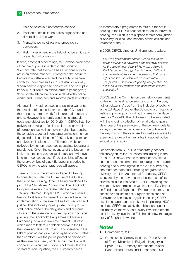- 1. Role of police in a democratic society;
- 2. Position of ethics in the police organisation and day-to-day police work;
- 3. Managing police ethics and prevention of corruption;
- 4. Risk management in the field of police ethics and prevention of corruption.

It aims, amongst other things, to 'Develop awareness of the role of police in a democratic society'; 'Demonstrate that everyone has a responsibility to act in an ethical manner'; 'Strengthen the desire to behave in an ethical way and the ability to behave correctly under pressure or in stressful situations'; 'Learn how to respond to non-ethical and corruptive behaviour'; 'Ensure an ethical climate (managers)'; 'Incorporate ethical behaviour in day-to-day police work'; and 'Strengthen and improve professionalism'.

Although in my opinion race and policing warrants the creation of a specific strand in the CCa, until this appears, a framework for incorporation already exists. However, it is hardly used. In its strategic goals and objectives for 2010–2014, CEPOL lists the delivery of training on 'police ethics and prevention of corruption' as well as 'human rights' but bundles these topics together in one programme on 'human rights and police ethics'. In 2015, only one seminar on 'diversity' is planned – a 75-minute webinar delivered by human resources specialists focusing on recruitment. Given the seriousness of the issues, the lack of attention is very unsatisfactory and will have long-term consequences. If racist policing affecting the everyday lives of black Europeans is buried by CEPOL, only the worst practices will spread.

There is not only the absence of specific training to consider, but also the future use of the CCa in the European Training Scheme being developed as part of the Stockholm Programme. The Stockholm Programme refers to a 'systematic European Training Scheme' (Chapter 1.2.6) which will offer EU training to all law enforcement officers active in the implementation of the area of freedom, security and justice. This includes judges, prosecutors, judicial staff, police officers, border guards and customs officers. In the absence of a clear approach to racist policing, the Stockholm Programme will foster a European judicial and law enforcement culture in which racism festers. For black people in the EU, the increasing levels of cross-EU cooperation in the field of policing can give rise to higher concern rather than comfort – will the police protect or persecute as they exercise Treaty rights across the Union? If cooperation in criminal justice is not to result in the spread of racial injustice, the EU urgently needs

to incorporate a programme to rout out racism in policing in the EU. Without action to tackle racism in policing, the Union is not a space for freedom, justice or security for black and minority ethnic citizens and residents of the EU.

In 2005, CEPOL director, Ulf Gorransson, asked:

How can governments across Europe ensure that police services are delivered in the best way possible for the sake of their citizens? How can policing in the 21st century be organised in the most efficient manner while at the same time ensuring that human rights and the rule of law are observed without compromise? How should 'good police practice' be achieved in the European area of freedom, security and *iustice?* 

CEPOL and the Commission can help governments to deliver the best police services for all in Europe, not just citizens. Aside from the inclusion of policing in the EU Race Directive, the EU could promote racial justice in policing by including this area in the Race Directive 2000/43. The FRA needs to be supported with the ongoing collection of racial data to gain a clear idea of the parameters of the problem, detailed surveys to examine the powers of the police and the way in which they are used as well as surveys to examine the role of human rights in national police education and action.

Leadership from CEPOL is desperately needed – the survey on Police Education and Training in the EU in 2010 shows that no member states offer a course or course component focusing on non-racist policing and human rights; in the 2006 survey only one member state had a training programme on diversity – the UK. As a formal EU agency, CEPOL is covered by the duty to serve the interests of its citizens as laid out in Article 13 TEU. Anything less will not only undermine the values of the EU Charter on Fundamental Rights and Freedoms but may also constitute a failure to act. Organisations such as Runnymede can play a key role in helping CEPOL develop an approach to tackle racist policing. NGOs can help CEPOL to satisfy the obligation upon it in the Treaty. At the very least, every law enforcement official at every level in the EU should know the tragic story of Stephen Lawrence.

#### **Notes**

- 1. Hammarberg, 2009.
- 2. Open Justice Society Institute, 'Police Stops of Ethnic Minorities in Bulgaria, Hungary, and Spain', 2007; Amnesty International 'Spain: Race-related torture and ill-treatment' 2002;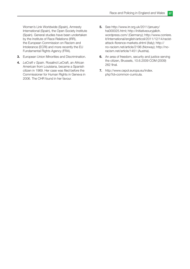Women's Link Worldwide (Spain), Amnesty International (Spain), the Open Society Institute (Spain). General studies have been undertaken by the Institute of Race Relations (IRR), the European Commission on Racism and Intolerance (ECRI) and more recently the EU Fundamental Rights Agency (FRA).

- 3. European Union Minorities and Discrimination.
- 4. LeCraft v Spain. Rosalind LeCraft, an African American from Louisiana, became a Spanish citizen in 1969. Her case was filed before the Commissioner for Human Rights in Geneva in 2006. The CHR found in her favour.
- 5. See http://www.irr.org.uk/2011/january/ ha000025.html; http://initiativeouryjalloh. wordpress.com/ (Germany); http://www.corriere. it/International/english/articoli/2011/12/14/racistattack-florence-markets.shtml (Italy); http:// no-racism.net/article/2196 (Norway); http://noracism.net/article/1451 (Austria).
- 6. An area of freedom, security and justice serving the citizen, Brussels, 10.6.2009 COM (2009) 262 final.
- 7. http://www.cepol.europa.eu/index. php?id=common-curricula.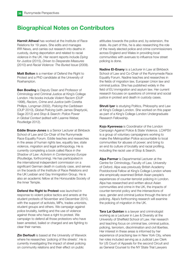# Biographical Notes on Contributors

**Harmit Athwal** has worked at the Institute of Race Relations for 19 years. She edits and manages IRR News, and carries out research into deaths in custody, during deportation and related to racial violence in the UK. Her recent reports include Dying for Justice (2015), Driven to Desperate Measures (2010) and Racial Violence: The Buried Issue (2009).

Matt Bolton is a member of Defend the Right to Protest and a PhD candidate at the University of Roehampton.

**Ben Bowling** is Deputy Dean and Professor of Criminology and Criminal Justice at King's College London. His books include Violent Racism (OUP 1998), Racism, Crime and Justice (with Coretta Phillips, Longman 2002), Policing the Caribbean (OUP 2010), Global Policing (with James Sheptycki, Sage 2012) and Stop & Search: Police Power in Global Context (edited with Leanne Weber, Routledge 2012).

Eddie Bruce-Jones is a Senior Lecturer at Birkbeck School of Law and Co-Chair of the Runnymede Race Equality Forum. Eddie teaches and researches in the areas of human rights law, equality law, state violence, migration and legal anthropology. He is currently completing a book called Race in the Shadow of Law: Activism in Contemporary Europe (Routledge, forthcoming). He has participated in the international independent commission on a significant German death in custody case, and serves on the boards of the Institute of Race Relations and the UK Lesbian and Gay Immigration Group. He is also an academic fellow at the Honourable Society of the Inner Temple.

Defend the Right to Protest was launched in response to violent police tactics and arrests at the student protests of November and December 2010, with the support of activists, MPs, trades unionists, student groups and others. We campaign against police brutality, kettling and the use of violence against those who have a right to protest. We campaign to defend all those protestors who have been arrested, bailed or charged and are fighting to clear their names.

**Zin Derfoufi** is based at the University of Warwick where he researches 'policing of the streets'. He is currently investigating the impact of street policing on community relations and their effect on public

attitudes towards the police and, by extension, the state. As part of this, he is also researching the role of the newly elected police and crime commissioners across England and Wales in providing local communities with avenues to influence how street policing is done.

Nadine El-Enany is a Lecturer in Law at Birkbeck School of Law and Co-Chair of the Runnymede Race Equality Forum. Nadine teaches and researches in the fields of migration law, European Union law and criminal justice. She has published widely in the field of EU immigration and asylum law. Her current research focuses on questions of criminal and social justice in protest and death in custody cases.

**Shruti Iyer** is studying Politics, Philosophy and Law at King's College London. She worked on this paper as part of a King's College London Undergraduate Research Fellowship.

Kojo Kyerewaa is Coordinator of the London Campaign Against Police & State Violence. LCAPSV is a group of voluntary campaigners working to make the Metropolitan Police accountable to local communities for abuses of power; and bring to an end its culture of brutality and racial profiling, including the racist use of Stop & Search.

Alpa Parmar is Departmental Lecturer at the Centre for Criminology, Faculty of Law, University of Oxford. Alpa was previously British Academy Postdoctoral Fellow at King's College London where she empirically examined British Asian people's experiences of counter-terrorist policing in London. Alpa has researched and written about Asian communities and crime in the UK, the impacts of counter-terrorist policy and the intersections of race, gender and criminal justice through the lens of policing. Alpa's forthcoming research will examine the policing of migration in the UK.

**Tara Lai Quinlan** is a lawyer and criminologist working as a Lecturer in Law & Diversity at the University of Sheffield School of Law. Her research and teaching focus on criminal law, criminal justice, policing, terrorism, discrimination and civil liberties. Her interest in these areas is informed by her experience of practising law in New York City, where her roles included serving as a Judicial Law Clerk for US Court of Appeals for the second Circuit and as General Counsel to the NY State Trial Lawyers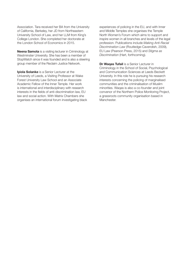Association. Tara received her BA from the University of California, Berkeley, her JD from Northeastern University School of Law, and her LLM from King's College London. She completed her doctorate at the London School of Economics in 2015.

Neena Samota is a visiting lecturer in Criminology at Westminster University. She has been a member of StopWatch since it was founded and is also a steering group member of the Reclaim Justice Network.

Iyiola Solanke is a Senior Lecturer at the University of Leeds, a Visiting Professor at Wake Forest University Law School and an Associate Academic Fellow of the Inner Temple. Her work is international and interdisciplinary with research interests in the fields of anti-discrimination law, EU law and social action. With Matrix Chambers she organises an international forum investigating black experiences of policing in the EU, and with Inner and Middle Temples she organises the Temple North Women's Forum which aims to support and inspire women in all branches and levels of the legal profession. Publications include Making Anti-Racial Discrimination Law (Routledge-Cavendish, 2009), EU Law (Pearson Press, 2015) and Stigma as Discrimination (Hart, forthcoming).

Dr Waqas Tufail is a Senior Lecturer in Criminology in the School of Social, Psychological and Communication Sciences at Leeds Beckett University. In this role he is pursuing his research interests concerning the policing of marginalised communities and the criminalisation of Muslim minorities. Waqas is also a co-founder and joint convenor of the Northern Police Monitoring Project, a grassroots community organisation based in Manchester.